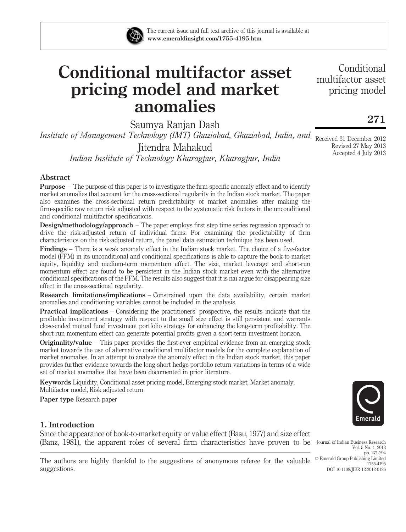

The current issue and full text archive of this journal is available at www.emeraldinsight.com/1755-4195.htm

# Conditional multifactor asset pricing model and market anomalies

Saumya Ranjan Dash

*Institute of Management Technology (IMT) Ghaziabad, Ghaziabad, India, and* Received 31 December 2012 Jitendra Mahakud

*Indian Institute of Technology Kharagpur, Kharagpur, India*

## **Abstract**

Purpose – The purpose of this paper is to investigate the firm-specific anomaly effect and to identify market anomalies that account for the cross-sectional regularity in the Indian stock market. The paper also examines the cross-sectional return predictability of market anomalies after making the firm-specific raw return risk adjusted with respect to the systematic risk factors in the unconditional and conditional multifactor specifications.

Design/methodology/approach – The paper employs first step time series regression approach to drive the risk-adjusted return of individual firms. For examining the predictability of firm characteristics on the risk-adjusted return, the panel data estimation technique has been used.

Findings – There is a weak anomaly effect in the Indian stock market. The choice of a five-factor model (FFM) in its unconditional and conditional specifications is able to capture the book-to-market equity, liquidity and medium-term momentum effect. The size, market leverage and short-run momentum effect are found to be persistent in the Indian stock market even with the alternative conditional specifications of the FFM. The results also suggest that it is naï argue for disappearing size effect in the cross-sectional regularity.

Research limitations/implications – Constrained upon the data availability, certain market anomalies and conditioning variables cannot be included in the analysis.

Practical implications – Considering the practitioners' prospective, the results indicate that the profitable investment strategy with respect to the small size effect is still persistent and warrants close-ended mutual fund investment portfolio strategy for enhancing the long-term profitability. The short-run momentum effect can generate potential profits given a short-term investment horizon.

**Originality/value** – This paper provides the first-ever empirical evidence from an emerging stock market towards the use of alternative conditional multifactor models for the complete explanation of market anomalies. In an attempt to analyze the anomaly effect in the Indian stock market, this paper provides further evidence towards the long-short hedge portfolio return variations in terms of a wide set of market anomalies that have been documented in prior literature.

Keywords Liquidity, Conditional asset pricing model, Emerging stock market, Market anomaly, Multifactor model, Risk adjusted return

Paper type Research paper

## 1. Introduction

Since the appearance of book-to-market equity or value effect (Basu, 1977) and size effect (Banz, 1981), the apparent roles of several firm characteristics have proven to be Journal of Indian Business Research

The authors are highly thankful to the suggestions of anonymous referee for the valuable suggestions.

Conditional multifactor asset pricing model

271

Revised 27 May 2013 Accepted 4 July 2013



Vol. 5 No. 4, 2013 pp. 271-294  $©$  Emerald Group Publishing Limited 1755-4195 DOI 10.1108/JIBR-12-2012-0126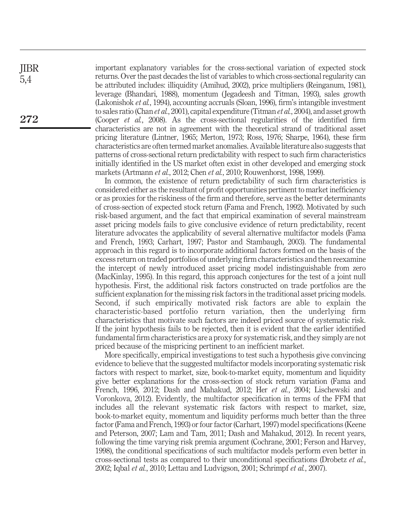important explanatory variables for the cross-sectional variation of expected stock returns. Over the past decades the list of variables to which cross-sectional regularity can be attributed includes: illiquidity (Amihud, 2002), price multipliers (Reinganum, 1981), leverage (Bhandari, 1988), momentum ( Jegadeesh and Titman, 1993), sales growth (Lakonishok *et al.*, 1994), accounting accruals (Sloan, 1996), firm's intangible investment to sales ratio (Chan *et al.*, 2001), capital expenditure (Titman *et al.*, 2004), and asset growth (Cooper *et al.*, 2008). As the cross-sectional regularities of the identified firm characteristics are not in agreement with the theoretical strand of traditional asset pricing literature (Lintner, 1965; Merton, 1973; Ross, 1976; Sharpe, 1964), these firm characteristics are often termed market anomalies. Available literature also suggests that patterns of cross-sectional return predictability with respect to such firm characteristics initially identified in the US market often exist in other developed and emerging stock markets (Artmann *et al.*, 2012; Chen *et al.*, 2010; Rouwenhorst, 1998, 1999).

In common, the existence of return predictability of such firm characteristics is considered either as the resultant of profit opportunities pertinent to market inefficiency or as proxies for the riskiness of the firm and therefore, serve as the better determinants of cross-section of expected stock return (Fama and French, 1992). Motivated by such risk-based argument, and the fact that empirical examination of several mainstream asset pricing models fails to give conclusive evidence of return predictability, recent literature advocates the applicability of several alternative multifactor models (Fama and French, 1993; Carhart, 1997; Pastor and Stambaugh, 2003). The fundamental approach in this regard is to incorporate additional factors formed on the basis of the excess return on traded portfolios of underlying firm characteristics and then reexamine the intercept of newly introduced asset pricing model indistinguishable from zero (MacKinlay, 1995). In this regard, this approach conjectures for the test of a joint null hypothesis. First, the additional risk factors constructed on trade portfolios are the sufficient explanation for the missing risk factors in the traditional asset pricing models. Second, if such empirically motivated risk factors are able to explain the characteristic-based portfolio return variation, then the underlying firm characteristics that motivate such factors are indeed priced source of systematic risk. If the joint hypothesis fails to be rejected, then it is evident that the earlier identified fundamental firm characteristics are a proxy for systematic risk, and they simply are not priced because of the mispricing pertinent to an inefficient market.

More specifically, empirical investigations to test such a hypothesis give convincing evidence to believe that the suggested multifactor models incorporating systematic risk factors with respect to market, size, book-to-market equity, momentum and liquidity give better explanations for the cross-section of stock return variation (Fama and French, 1996, 2012; Dash and Mahakud, 2012; Her *et al.*, 2004; Lischewski and Voronkova, 2012). Evidently, the multifactor specification in terms of the FFM that includes all the relevant systematic risk factors with respect to market, size, book-to-market equity, momentum and liquidity performs much better than the three factor (Fama and French, 1993) or four factor (Carhart, 1997) model specifications (Keene and Peterson, 2007; Lam and Tam, 2011; Dash and Mahakud, 2012). In recent years, following the time varying risk premia argument (Cochrane, 2001; Ferson and Harvey, 1998), the conditional specifications of such multifactor models perform even better in cross-sectional tests as compared to their unconditional specifications (Drobetz *et al.*, 2002; Iqbal *et al.*, 2010; Lettau and Ludvigson, 2001; Schrimpf *et al.*, 2007).

5,4

JIBR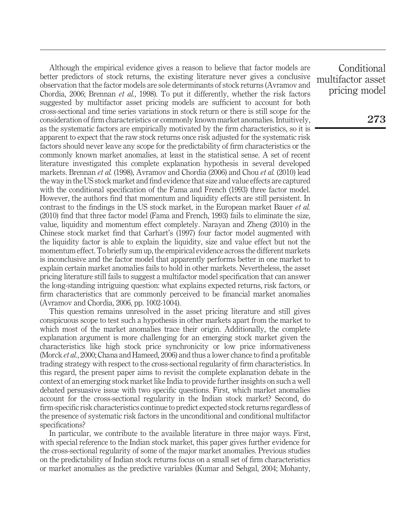Although the empirical evidence gives a reason to believe that factor models are better predictors of stock returns, the existing literature never gives a conclusive observation that the factor models are sole determinants of stock returns (Avramov and Chordia, 2006; Brennan *et al.*, 1998). To put it differently, whether the risk factors suggested by multifactor asset pricing models are sufficient to account for both cross-sectional and time series variations in stock return or there is still scope for the consideration of firm characteristics or commonly known market anomalies. Intuitively, as the systematic factors are empirically motivated by the firm characteristics, so it is apparent to expect that the raw stock returns once risk adjusted for the systematic risk factors should never leave any scope for the predictability of firm characteristics or the commonly known market anomalies, at least in the statistical sense. A set of recent literature investigated this complete explanation hypothesis in several developed markets. Brennan *et al.* (1998), Avramov and Chordia (2006) and Chou *et al.* (2010) lead the way in the US stock market and find evidence that size and value effects are captured with the conditional specification of the Fama and French (1993) three factor model. However, the authors find that momentum and liquidity effects are still persistent. In contrast to the findings in the US stock market, in the European market Bauer *et al.* (2010) find that three factor model (Fama and French, 1993) fails to eliminate the size, value, liquidity and momentum effect completely. Narayan and Zheng (2010) in the Chinese stock market find that Carhart's (1997) four factor model augmented with the liquidity factor is able to explain the liquidity, size and value effect but not the momentum effect. To briefly sum up, the empirical evidence across the different markets is inconclusive and the factor model that apparently performs better in one market to explain certain market anomalies fails to hold in other markets. Nevertheless, the asset pricing literature still fails to suggest a multifactor model specification that can answer the long-standing intriguing question: what explains expected returns, risk factors, or firm characteristics that are commonly perceived to be financial market anomalies (Avramov and Chordia, 2006, pp. 1002-1004).

This question remains unresolved in the asset pricing literature and still gives conspicuous scope to test such a hypothesis in other markets apart from the market to which most of the market anomalies trace their origin. Additionally, the complete explanation argument is more challenging for an emerging stock market given the characteristics like high stock price synchronicity or low price informativeness (Morck *et al.*, 2000; Chana and Hameed, 2006) and thus a lower chance to find a profitable trading strategy with respect to the cross-sectional regularity of firm characteristics. In this regard, the present paper aims to revisit the complete explanation debate in the context of an emerging stock market like India to provide further insights on such a well debated persuasive issue with two specific questions. First, which market anomalies account for the cross-sectional regularity in the Indian stock market? Second, do firm-specific risk characteristics continue to predict expected stock returns regardless of the presence of systematic risk factors in the unconditional and conditional multifactor specifications?

In particular, we contribute to the available literature in three major ways. First, with special reference to the Indian stock market, this paper gives further evidence for the cross-sectional regularity of some of the major market anomalies. Previous studies on the predictability of Indian stock returns focus on a small set of firm characteristics or market anomalies as the predictive variables (Kumar and Sehgal, 2004; Mohanty,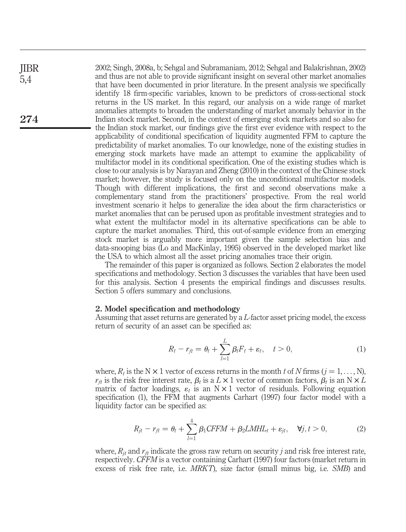2002; Singh, 2008a, b; Sehgal and Subramaniam, 2012; Sehgal and Balakrishnan, 2002) and thus are not able to provide significant insight on several other market anomalies that have been documented in prior literature. In the present analysis we specifically identify 18 firm-specific variables, known to be predictors of cross-sectional stock returns in the US market. In this regard, our analysis on a wide range of market anomalies attempts to broaden the understanding of market anomaly behavior in the Indian stock market. Second, in the context of emerging stock markets and so also for the Indian stock market, our findings give the first ever evidence with respect to the applicability of conditional specification of liquidity augmented FFM to capture the predictability of market anomalies. To our knowledge, none of the existing studies in emerging stock markets have made an attempt to examine the applicability of multifactor model in its conditional specification. One of the existing studies which is close to our analysis is by Narayan and Zheng (2010) in the context of the Chinese stock market; however, the study is focused only on the unconditional multifactor models. Though with different implications, the first and second observations make a complementary stand from the practitioners' prospective. From the real world investment scenario it helps to generalize the idea about the firm characteristics or market anomalies that can be perused upon as profitable investment strategies and to what extent the multifactor model in its alternative specifications can be able to capture the market anomalies. Third, this out-of-sample evidence from an emerging stock market is arguably more important given the sample selection bias and data-snooping bias (Lo and MacKinlay, 1995) observed in the developed market like the USA to which almost all the asset pricing anomalies trace their origin.

The remainder of this paper is organized as follows. Section 2 elaborates the model specifications and methodology. Section 3 discusses the variables that have been used for this analysis. Section 4 presents the empirical findings and discusses results. Section 5 offers summary and conclusions.

#### 2. Model specification and methodology

Assuming that asset returns are generated by a *L*-factor asset pricing model, the excess return of security of an asset can be specified as:

$$
R_t - r_{ft} = \theta_t + \sum_{l=1}^{L} \beta_l F_t + \varepsilon_t, \quad t > 0,
$$
\n(1)

where,  $R_t$  is the N  $\times$  1 vector of excess returns in the month *t* of *N* firms ( $j = 1, ..., N$ ),  $r_f$  is the risk free interest rate,  $\beta_t$  is a  $L \times 1$  vector of common factors,  $\beta_t$  is an  $N \times L$ matrix of factor loadings,  $\varepsilon_t$  is an  $N \times 1$  vector of residuals. Following equation specification (1), the FFM that augments Carhart (1997) four factor model with a liquidity factor can be specified as:

$$
R_{jt} - r_{ft} = \theta_t + \sum_{l=1}^{4} \beta_1 CFFM + \beta_2 LMHL_t + \varepsilon_{jt}, \quad \forall j, t > 0,
$$
 (2)

where,  $R_{it}$  and  $r_f$  indicate the gross raw return on security *j* and risk free interest rate, respectively. *CFFM* is a vector containing Carhart (1997) four factors (market return in excess of risk free rate, i.e. *MRKT*), size factor (small minus big, i.e. *SMB*) and

274

JIBR 5,4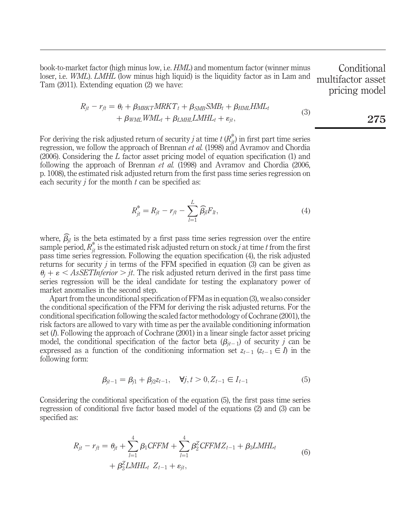book-to-market factor (high minus low, i.e. *HML*) and momentum factor (winner minus loser, i.e. *WML*). *LMHL* (low minus high liquid) is the liquidity factor as in Lam and Tam (2011). Extending equation (2) we have:

Conditional multifactor asset pricing model

$$
R_{jt} - r_{ft} = \theta_t + \beta_{MRKT}MRKT_t + \beta_{SMB}SMB_t + \beta_{HML}HML_t + \beta_{WML}WML_t + \beta_{LMHL}LMHL_t + \varepsilon_{jt},
$$
\n(3)

For deriving the risk adjusted return of security *j* at time  $t$  ( $R_{jl}^*$ ) in first part time series regression, we follow the approach of Brennan *et al.* (1998) and Avramov and Chordia (2006). Considering the *L* factor asset pricing model of equation specification (1) and following the approach of Brennan *et al.* (1998) and Avramov and Chordia (2006, p. 1008), the estimated risk adjusted return from the first pass time series regression on each security *j* for the month *t* can be specified as:

$$
R_{jt}^* = R_{jt} - r_{ft} - \sum_{l=1}^{L} \widehat{\beta}_{jl} F_{lt},
$$
\n(4)

where,  $\widehat{\beta}_{jl}$  is the beta estimated by a first pass time series regression over the entire sample period,  $R_{jt}^*$  is the estimated risk adjusted return on stock *j* at time *t* from the first sample period,  $R_{jt}^*$  is the estimated risk adjusted return on stock *j* at time *t* from the first pass time series regression. Following the equation specification (4), the risk adjusted returns for security  $j$  in terms of the FFM specified in equation (3) can be given as  $\theta_i + \varepsilon <$  *AsSETInferior*  $> it$ . The risk adjusted return derived in the first pass time series regression will be the ideal candidate for testing the explanatory power of market anomalies in the second step.

Apart from the unconditional specification of FFM as in equation (3), we also consider the conditional specification of the FFM for deriving the risk adjusted returns. For the conditional specification following the scaled factor methodology of Cochrane (2001), the risk factors are allowed to vary with time as per the available conditioning information set (*I*). Following the approach of Cochrane (2001) in a linear single factor asset pricing model, the conditional specification of the factor beta  $(\beta_{jt-1})$  of security *j* can be expressed as a function of the conditioning information set  $z_{t-1}$  ( $z_{t-1} \in I$ ) in the following form:

$$
\beta_{jt-1} = \beta_{j1} + \beta_{j2} z_{t-1}, \quad \forall j, t > 0, Z_{t-1} \in I_{t-1}
$$
\n(5)

Considering the conditional specification of the equation (5), the first pass time series regression of conditional five factor based model of the equations (2) and (3) can be specified as:

$$
R_{jt} - r_{ft} = \theta_{jt} + \sum_{l=1}^{4} \beta_1 CFFM + \sum_{l=1}^{4} \beta_2^Z CFFMZ_{t-1} + \beta_3 LMHL_t + \beta_3^Z LMHL_t Z_{t-1} + \varepsilon_{jt},
$$
\n(6)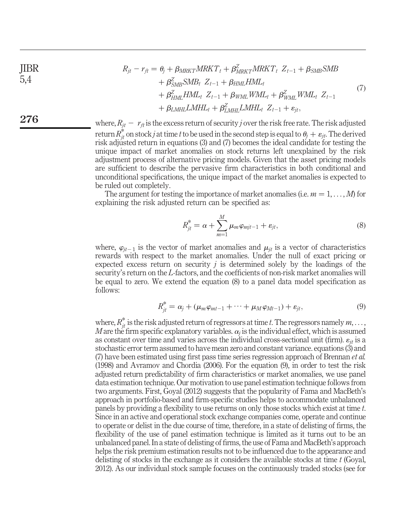JIBR  
\n
$$
R_{jt} - r_{ft} = \theta_j + \beta_{MRKT}MRKT_t + \beta_{MRKT}^{Z}MRKT_t Z_{t-1} + \beta_{SMB}SMB
$$
\n
$$
+ \beta_{SMB}^{Z}SMB_t Z_{t-1} + \beta_{HML}HML_t + \beta_{WML}^{Z}WML_t Z_{t-1}
$$
\n
$$
+ \beta_{LMHL}LMHL_t + \beta_{LMHL}^{Z}LMHL_t Z_{t-1} + \varepsilon_{jt},
$$
\n(7)  
\n276  
\n276  
\n276  
\n276  
\n276

where,  $R_{jt} - r_{ft}$  is the excess return of security *j* over the risk free rate. The risk adjusted return  $R_{it}^{*}$  on stock *j* at time *t* to be used in the second step is equal to  $\theta_j + \varepsilon_{jt}$ . The derived risk adjusted return in equations (3) and (7) becomes the ideal candidate for testing the unique impact of market anomalies on stock returns left unexplained by the risk adjustment process of alternative pricing models. Given that the asset pricing models are sufficient to describe the pervasive firm characteristics in both conditional and unconditional specifications, the unique impact of the market anomalies is expected to be ruled out completely.

The argument for testing the importance of market anomalies (i.e.  $m = 1, \ldots, M$ ) for explaining the risk adjusted return can be specified as:

$$
R_{jt}^* = \alpha + \sum_{m=1}^M \mu_m \varphi_{mjt-1} + \varepsilon_{jt},
$$
\n(8)

where,  $\varphi_{jt-1}$  is the vector of market anomalies and  $\mu_{jt}$  is a vector of characteristics rewards with respect to the market anomalies. Under the null of exact pricing or expected excess return on security *j* is determined solely by the loadings of the security's return on the *L*-factors, and the coefficients of non-risk market anomalies will be equal to zero. We extend the equation (8) to a panel data model specification as follows:

$$
R_{jt}^* = \alpha_j + (\mu_m \varphi_{mt-1} + \dots + \mu_M \varphi_{Mt-1}) + \varepsilon_{jt},
$$
\n(9)

where,  $R_{jt}^*$  is the risk adjusted return of regressors at time *t*. The regressors namely  $m, \ldots$ ,  $M$  are the firm specific explanatory variables.  $\alpha_j$  is the individual effect, which is assumed as constant over time and varies across the individual cross-sectional unit (firm).  $\varepsilon_{it}$  is a stochastic error term assumed to have mean zero and constant variance. equations (3) and (7) have been estimated using first pass time series regression approach of Brennan *et al.* (1998) and Avramov and Chordia (2006). For the equation (9), in order to test the risk adjusted return predictability of firm characteristics or market anomalies, we use panel data estimation technique. Our motivation to use panel estimation technique follows from two arguments. First, Goyal (2012) suggests that the popularity of Fama and MacBeth's approach in portfolio-based and firm-specific studies helps to accommodate unbalanced panels by providing a flexibility to use returns on only those stocks which exist at time *t*. Since in an active and operational stock exchange companies come, operate and continue to operate or delist in the due course of time, therefore, in a state of delisting of firms, the flexibility of the use of panel estimation technique is limited as it turns out to be an unbalanced panel. In a state of delisting of firms, the use of Fama and MacBeth's approach helps the risk premium estimation results not to be influenced due to the appearance and delisting of stocks in the exchange as it considers the available stocks at time *t* (Goyal, 2012). As our individual stock sample focuses on the continuously traded stocks (see for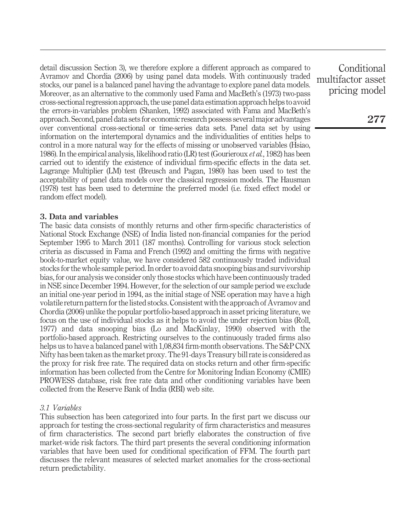detail discussion Section 3), we therefore explore a different approach as compared to Avramov and Chordia (2006) by using panel data models. With continuously traded stocks, our panel is a balanced panel having the advantage to explore panel data models. Moreover, as an alternative to the commonly used Fama and MacBeth's (1973) two-pass cross-sectional regression approach, the use panel data estimation approach helps to avoid the errors-in-variables problem (Shanken, 1992) associated with Fama and MacBeth's approach. Second, panel data sets for economic research possess several major advantages over conventional cross-sectional or time-series data sets. Panel data set by using information on the intertemporal dynamics and the individualities of entities helps to control in a more natural way for the effects of missing or unobserved variables (Hsiao, 1986). In the empirical analysis, likelihood ratio (LR) test (Gourieroux *et al.*, 1982) has been carried out to identify the existence of individual firm-specific effects in the data set. Lagrange Multiplier (LM) test (Breusch and Pagan, 1980) has been used to test the acceptability of panel data models over the classical regression models. The Hausman (1978) test has been used to determine the preferred model (i.e. fixed effect model or random effect model).

## 3. Data and variables

The basic data consists of monthly returns and other firm-specific characteristics of National Stock Exchange (NSE) of India listed non-financial companies for the period September 1995 to March 2011 (187 months). Controlling for various stock selection criteria as discussed in Fama and French (1992) and omitting the firms with negative book-to-market equity value, we have considered 582 continuously traded individual stocks for the whole sample period. In order to avoid data snooping bias and survivorship bias, for our analysis we consider only those stocks which have been continuously traded in NSE since December 1994. However, for the selection of our sample period we exclude an initial one-year period in 1994, as the initial stage of NSE operation may have a high volatile return pattern for the listed stocks. Consistent with the approach of Avramov and Chordia (2006) unlike the popular portfolio-based approach in asset pricing literature, we focus on the use of individual stocks as it helps to avoid the under rejection bias (Roll, 1977) and data snooping bias (Lo and MacKinlay, 1990) observed with the portfolio-based approach. Restricting ourselves to the continuously traded firms also helps us to have a balanced panel with 1,08,834 firm-month observations. The S&P CNX Nifty has been taken as the market proxy. The 91-days Treasury bill rate is considered as the proxy for risk free rate. The required data on stocks return and other firm-specific information has been collected from the Centre for Monitoring Indian Economy (CMIE) PROWESS database, risk free rate data and other conditioning variables have been collected from the Reserve Bank of India (RBI) web site.

# *3.1 Variables*

This subsection has been categorized into four parts. In the first part we discuss our approach for testing the cross-sectional regularity of firm characteristics and measures of firm characteristics. The second part briefly elaborates the construction of five market-wide risk factors. The third part presents the several conditioning information variables that have been used for conditional specification of FFM. The fourth part discusses the relevant measures of selected market anomalies for the cross-sectional return predictability.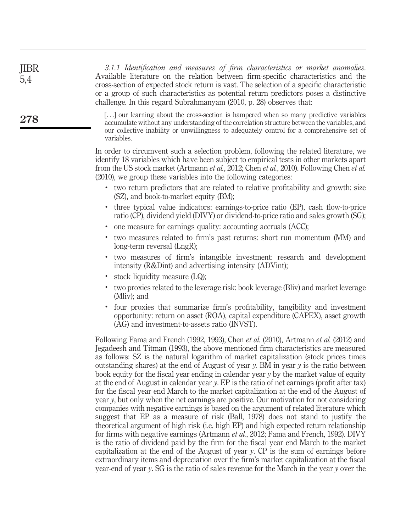*3.1.1 Identification and measures of firm characteristics or market anomalies*. Available literature on the relation between firm-specific characteristics and the cross-section of expected stock return is vast. The selection of a specific characteristic or a group of such characteristics as potential return predictors poses a distinctive challenge. In this regard Subrahmanyam (2010, p. 28) observes that:

[...] our learning about the cross-section is hampered when so many predictive variables accumulate without any understanding of the correlation structure between the variables, and our collective inability or unwillingness to adequately control for a comprehensive set of variables.

In order to circumvent such a selection problem, following the related literature, we identify 18 variables which have been subject to empirical tests in other markets apart from the US stock market (Artmann *et al.*, 2012; Chen *et al.*, 2010). Following Chen *et al.* (2010), we group these variables into the following categories:

- . two return predictors that are related to relative profitability and growth: size (SZ), and book-to-market equity (BM);
- . three typical value indicators: earnings-to-price ratio (EP), cash flow-to-price ratio (CP), dividend yield (DIVY) or dividend-to-price ratio and sales growth (SG);
- . one measure for earnings quality: accounting accruals (ACC);
- . two measures related to firm's past returns: short run momentum (MM) and long-term reversal (LngR);
- . two measures of firm's intangible investment: research and development intensity (R&Dint) and advertising intensity (ADVint);
- . stock liquidity measure (LQ);
- . two proxies related to the leverage risk: book leverage (Bliv) and market leverage (Mliv); and
- . four proxies that summarize firm's profitability, tangibility and investment opportunity: return on asset (ROA), capital expenditure (CAPEX), asset growth (AG) and investment-to-assets ratio (INVST).

Following Fama and French (1992, 1993), Chen *et al.* (2010), Artmann *et al.* (2012) and Jegadeesh and Titman (1993), the above mentioned firm characteristics are measured as follows: SZ is the natural logarithm of market capitalization (stock prices times outstanding shares) at the end of August of year  $\nu$ . BM in year  $\nu$  is the ratio between book equity for the fiscal year ending in calendar year *y* by the market value of equity at the end of August in calendar year *y*. EP is the ratio of net earnings (profit after tax) for the fiscal year end March to the market capitalization at the end of the August of year *y*, but only when the net earnings are positive. Our motivation for not considering companies with negative earnings is based on the argument of related literature which suggest that EP as a measure of risk (Ball, 1978) does not stand to justify the theoretical argument of high risk (i.e. high EP) and high expected return relationship for firms with negative earnings (Artmann *et al.*, 2012; Fama and French, 1992). DIVY is the ratio of dividend paid by the firm for the fiscal year end March to the market capitalization at the end of the August of year *y*. CP is the sum of earnings before extraordinary items and depreciation over the firm's market capitalization at the fiscal year-end of year *y*. SG is the ratio of sales revenue for the March in the year *y* over the

JIBR 5,4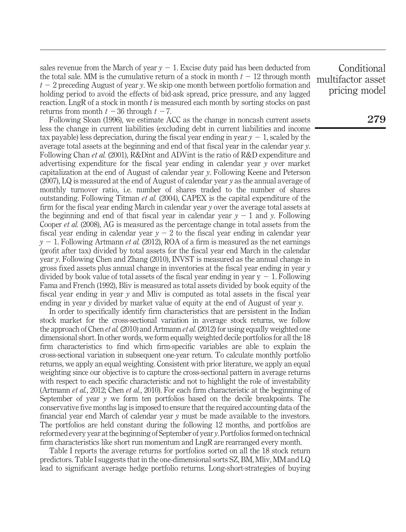sales revenue from the March of year  $y - 1$ . Excise duty paid has been deducted from the total sale. MM is the cumulative return of a stock in month  $t - 12$  through month *t* 2 2 preceding August of year *y*. We skip one month between portfolio formation and holding period to avoid the effects of bid-ask spread, price pressure, and any lagged reaction. LngR of a stock in month *t* is measured each month by sorting stocks on past returns from month  $t - 36$  through  $t - 7$ .

Following Sloan (1996), we estimate ACC as the change in noncash current assets less the change in current liabilities (excluding debt in current liabilities and income tax payable) less depreciation, during the fiscal year ending in year  $y - 1$ , scaled by the average total assets at the beginning and end of that fiscal year in the calendar year *y*. Following Chan *et al.* (2001), R&Dint and ADVint is the ratio of R&D expenditure and advertising expenditure for the fiscal year ending in calendar year *y* over market capitalization at the end of August of calendar year *y*. Following Keene and Peterson (2007), LQ is measured at the end of August of calendar year *y* as the annual average of monthly turnover ratio, i.e. number of shares traded to the number of shares outstanding. Following Titman *et al.* (2004), CAPEX is the capital expenditure of the firm for the fiscal year ending March in calendar year *y* over the average total assets at the beginning and end of that fiscal year in calendar year  $y - 1$  and *y*. Following Cooper *et al.* (2008), AG is measured as the percentage change in total assets from the fiscal year ending in calendar year  $y - 2$  to the fiscal year ending in calendar year  $y - 1$ . Following Artmann *et al.* (2012), ROA of a firm is measured as the net earnings (profit after tax) divided by total assets for the fiscal year end March in the calendar year *y*. Following Chen and Zhang (2010), INVST is measured as the annual change in gross fixed assets plus annual change in inventories at the fiscal year ending in year *y* divided by book value of total assets of the fiscal year ending in year  $y - 1$ . Following Fama and French (1992), Bliv is measured as total assets divided by book equity of the fiscal year ending in year *y* and Mliv is computed as total assets in the fiscal year ending in year *y* divided by market value of equity at the end of August of year *y*.

In order to specifically identify firm characteristics that are persistent in the Indian stock market for the cross-sectional variation in average stock returns, we follow the approach of Chen *et al.* (2010) and Artmann *et al.* (2012) for using equally weighted one dimensional short. In other words, we form equally weighted decile portfolios for all the 18 firm characteristics to find which firm-specific variables are able to explain the cross-sectional variation in subsequent one-year return. To calculate monthly portfolio returns, we apply an equal weighting. Consistent with prior literature, we apply an equal weighting since our objective is to capture the cross-sectional pattern in average returns with respect to each specific characteristic and not to highlight the role of investability (Artmann *et al.*, 2012; Chen *et al.*, 2010). For each firm characteristic at the beginning of September of year *y* we form ten portfolios based on the decile breakpoints. The conservative five months lag is imposed to ensure that the required accounting data of the financial year end March of calendar year *y* must be made available to the investors. The portfolios are held constant during the following 12 months, and portfolios are reformed every year at the beginning of September of year *y*. Portfolios formed on technical firm characteristics like short run momentum and LngR are rearranged every month.

Table I reports the average returns for portfolios sorted on all the 18 stock return predictors. Table I suggests that in the one-dimensional sorts SZ, BM, Mliv, MM and LQ lead to significant average hedge portfolio returns. Long-short-strategies of buying

Conditional multifactor asset pricing model

279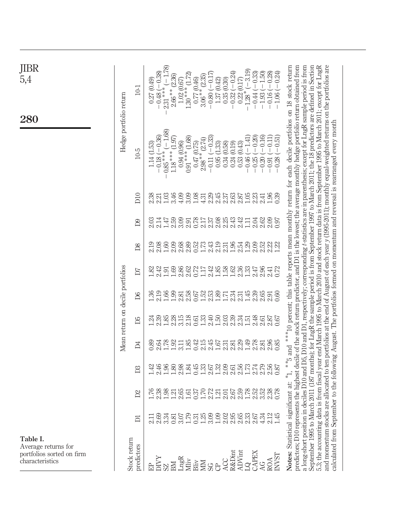| <b>JIBR</b><br>5,4                                                              |                                  | 10-1              | $2.31***(-1.78)$<br>$(-3.19)$<br>$(-0.38)$<br>$-1.50$<br>$-0.33$<br>$-0.28$<br>$-0.24$<br>$(-0.24)$<br>$-0.17$<br>$\begin{array}{c} 1.02\ (0.67) \\ 1.30^{***}\ (1.72) \end{array}$<br>$2.66** (2.36)$<br>$3.06** (2.35)$<br>(0.17)<br>0.27(0.49)<br>0.77 (0.46)<br>(0.30)<br>(0.42)<br>$-0.80$ (<br>$1.28$ *<br>$-0.48$ (<br>$-1.06$<br>$-0.32$<br>0.35<br>$1.37$<br>0.22<br>$-0.16$<br>$-0.44$<br>$-1.93$<br>T                                                                                                                                                                                                                                                                                                                                                                                                                                                                                                                                                                                                                                                                                                                                                                                                                                                                                                                                                                                                              |
|---------------------------------------------------------------------------------|----------------------------------|-------------------|-------------------------------------------------------------------------------------------------------------------------------------------------------------------------------------------------------------------------------------------------------------------------------------------------------------------------------------------------------------------------------------------------------------------------------------------------------------------------------------------------------------------------------------------------------------------------------------------------------------------------------------------------------------------------------------------------------------------------------------------------------------------------------------------------------------------------------------------------------------------------------------------------------------------------------------------------------------------------------------------------------------------------------------------------------------------------------------------------------------------------------------------------------------------------------------------------------------------------------------------------------------------------------------------------------------------------------------------------------------------------------------------------------------------------------|
| 280                                                                             | Hedge portfolio return           | $10 - 5$          | 5.3; the accounting data is from fiscal year end March 1995 to March 2010 and stock return data is from September 1995 to March 2011; except for LngR<br>and momentum stocks are allocated to ten portfolios at the end of August of each year y (1995-2011); monthly equal-weighted returns on the portfolios are<br>**5 and ****10 percent; this table reports mean monthly return for each decile portfolios on 18 stock return<br>ents the highest decile of the stock return predictor, and D1 is the lowest; the average monthly hedge portfolio return obtained from<br>a long-short position in deciles D10 and D5, D10 and D1, respectively; corresponding t-statistics are in parenthesis; except for LngR sample period is from<br>September 1995 to March 2011 (187 months); for LngR the sample period is from September 1997 to March 2011; the 18 predictors are defined in Section<br>calculated from September to the following August. The portfolios formed on momentum and reversal is rearranged every month<br>$0.85***(-1.68)$<br>$-0.18(-0.36)$<br>$-0.11(-0.33)$<br>0.20<br>$-0.16$<br>(1.97)<br>$\begin{array}{c} 0.94\ (0.96) \\ 0.91\ {^{***}}\ (1.68) \end{array}$<br>$(-1.41)$<br>$-0.11$<br>$-0.51$<br>$2.98** (2.74)$<br>0.95(1.33)<br>0.34(0.58)<br>0.24(0.19)<br>0.53(0.43)<br>0.47(0.75)<br>1.14(1.53)<br>$\overline{1}$<br>$1.18***$<br>$-0.25$<br>0.28(<br>$-0.46$<br>$-0.20$<br>$-0.91$ |
|                                                                                 |                                  | D <sub>10</sub>   | 1.03<br>3.46<br>4.09<br>3.09<br>1.08<br>2.29<br>2.45<br>$2.63$<br>2.87<br>1.96<br>2.37<br>1.05<br>2.23<br>2.38<br>4.31<br>2.41<br>0.39<br>2.21                                                                                                                                                                                                                                                                                                                                                                                                                                                                                                                                                                                                                                                                                                                                                                                                                                                                                                                                                                                                                                                                                                                                                                                                                                                                                |
|                                                                                 |                                  | D <sub>9</sub>    | 2.91<br>0.78<br>2.17<br>2.37<br>2.08<br>2.09<br>1.47<br>2.59<br>3.09<br>2.25<br>2.43<br>2.42<br>2.62<br>2.14<br>2.04<br>2.03<br>$\Xi$<br>0.97                                                                                                                                                                                                                                                                                                                                                                                                                                                                                                                                                                                                                                                                                                                                                                                                                                                                                                                                                                                                                                                                                                                                                                                                                                                                                 |
|                                                                                 |                                  | $\mathbb{R}$      | 0.52<br>2.43<br>2.19<br>1.96<br>2.54<br>2.52<br>2.09<br>2.68<br>2.89<br>1.73<br>1.29<br>2.09<br>2.22<br>1.22<br>2.08<br>1.60<br>2.19<br>2.31                                                                                                                                                                                                                                                                                                                                                                                                                                                                                                                                                                                                                                                                                                                                                                                                                                                                                                                                                                                                                                                                                                                                                                                                                                                                                  |
|                                                                                 |                                  | $\sum$            | 2.42<br>1.85<br>$1.58$<br>$-1.58$<br>1.69<br>2.86<br>2.62<br>0.72<br>1.17<br>1.33<br>2.47<br>2.96<br>0.72<br>2.42<br>1.91<br>2.41<br>1.82                                                                                                                                                                                                                                                                                                                                                                                                                                                                                                                                                                                                                                                                                                                                                                                                                                                                                                                                                                                                                                                                                                                                                                                                                                                                                     |
|                                                                                 | Mean return on decile portfolios | D <sub>6</sub>    | 1.66<br>1.99<br>2.81<br>2.58<br>$1.52$<br>$2.53$<br>1.89<br>1.45<br>2.19<br>0.67<br>$2.34$<br>$2.31$<br>2.39<br>2.65<br>1.36<br>1.71<br>2.91<br>0.60                                                                                                                                                                                                                                                                                                                                                                                                                                                                                                                                                                                                                                                                                                                                                                                                                                                                                                                                                                                                                                                                                                                                                                                                                                                                          |
|                                                                                 |                                  | B <sub>5</sub>    | 2.18<br>1.33<br>2.40<br>1.50<br>2.03<br>2.39<br>2.48<br>2.39<br>1.85<br>2.28<br>3.15<br>2.34<br>2.61<br>2.87<br>0.67<br>0.61<br>1.51<br>1.24                                                                                                                                                                                                                                                                                                                                                                                                                                                                                                                                                                                                                                                                                                                                                                                                                                                                                                                                                                                                                                                                                                                                                                                                                                                                                  |
|                                                                                 |                                  | D <sub>4</sub>    | 1.78<br>1.92<br>0.42<br>2.15<br>2.45<br>2.81<br>2.29<br>1.49<br>2.78<br>2.96<br>1.85<br>1.67<br>0.85<br>0.89<br>2.64<br>3.11<br>2.31<br>2.81                                                                                                                                                                                                                                                                                                                                                                                                                                                                                                                                                                                                                                                                                                                                                                                                                                                                                                                                                                                                                                                                                                                                                                                                                                                                                  |
|                                                                                 |                                  | <sup>2</sup>      | 2.56<br>2.79<br>2.98<br>1.84<br>0.45<br>1.32<br>$\frac{2.09}{2.61}$<br>1.73<br>2.74<br>2.56<br>2.46<br>1.80<br>$1.33$<br>$2.67$<br>1.42<br>0.87<br>$\overline{f}$                                                                                                                                                                                                                                                                                                                                                                                                                                                                                                                                                                                                                                                                                                                                                                                                                                                                                                                                                                                                                                                                                                                                                                                                                                                             |
|                                                                                 |                                  | D2                | 1.61<br>0.37<br>1.72<br>2.67<br>2.59<br>1.78<br>2.52<br>3.52<br>2.65<br>2.38<br>0.78<br>1.76<br>2.38<br>1.98<br>2.01<br>1.21<br>121                                                                                                                                                                                                                                                                                                                                                                                                                                                                                                                                                                                                                                                                                                                                                                                                                                                                                                                                                                                                                                                                                                                                                                                                                                                                                           |
|                                                                                 |                                  | $\overline{\Box}$ | 18328255318393258326<br>4.34                                                                                                                                                                                                                                                                                                                                                                                                                                                                                                                                                                                                                                                                                                                                                                                                                                                                                                                                                                                                                                                                                                                                                                                                                                                                                                                                                                                                  |
| Table I.<br>Average returns for<br>portfolios sorted on firm<br>characteristics | Stock return                     | predictors        | Notes: Statistical significant at:<br>predictors; D10 repres<br>$\begin{array}{lcl} {\text{ACC}}\\ {\text{R\&Dint}}\\ {\text{ADVint}}\\ {\text{LQ}} \end{array}$<br>CAPEX<br><b>IS/M</b><br>명 <u>모</u> 정 필요로 중요<br>명령 기준 중국 중국 정 운                                                                                                                                                                                                                                                                                                                                                                                                                                                                                                                                                                                                                                                                                                                                                                                                                                                                                                                                                                                                                                                                                                                                                                                            |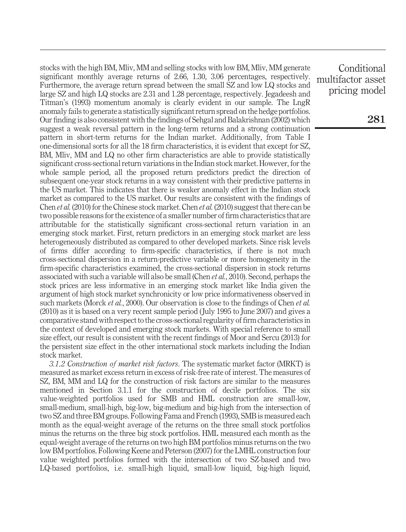stocks with the high BM, Mliv, MM and selling stocks with low BM, Mliv, MM generate significant monthly average returns of 2.66, 1.30, 3.06 percentages, respectively. Furthermore, the average return spread between the small SZ and low LQ stocks and large SZ and high LQ stocks are 2.31 and 1.28 percentage, respectively. Jegadeesh and Titman's (1993) momentum anomaly is clearly evident in our sample. The LngR anomaly fails to generate a statistically significant return spread on the hedge portfolios. Our finding is also consistent with the findings of Sehgal and Balakrishnan (2002) which suggest a weak reversal pattern in the long-term returns and a strong continuation pattern in short-term returns for the Indian market. Additionally, from Table I one-dimensional sorts for all the 18 firm characteristics, it is evident that except for SZ, BM, Mliv, MM and LQ no other firm characteristics are able to provide statistically significant cross-sectional return variations in the Indian stock market. However, for the whole sample period, all the proposed return predictors predict the direction of subsequent one-year stock returns in a way consistent with their predictive patterns in the US market. This indicates that there is weaker anomaly effect in the Indian stock market as compared to the US market. Our results are consistent with the findings of Chen *et al.* (2010) for the Chinese stock market. Chen *et al.* (2010) suggest that there can be two possible reasons for the existence of a smaller number of firm characteristics that are attributable for the statistically significant cross-sectional return variation in an emerging stock market. First, return predictors in an emerging stock market are less heterogeneously distributed as compared to other developed markets. Since risk levels of firms differ according to firm-specific characteristics, if there is not much cross-sectional dispersion in a return-predictive variable or more homogeneity in the firm-specific characteristics examined, the cross-sectional dispersion in stock returns associated with such a variable will also be small (Chen *et al.*, 2010). Second, perhaps the stock prices are less informative in an emerging stock market like India given the argument of high stock market synchronicity or low price informativeness observed in such markets (Morck *et al.*, 2000). Our observation is close to the findings of Chen *et al.* (2010) as it is based on a very recent sample period ( July 1995 to June 2007) and gives a comparative stand with respect to the cross-sectional regularity of firm characteristics in the context of developed and emerging stock markets. With special reference to small size effect, our result is consistent with the recent findings of Moor and Sercu (2013) for the persistent size effect in the other international stock markets including the Indian stock market.

*3.1.2 Construction of market risk factors*. The systematic market factor (MRKT) is measured as market excess return in excess of risk-free rate of interest. The measures of SZ, BM, MM and LQ for the construction of risk factors are similar to the measures mentioned in Section 3.1.1 for the construction of decile portfolios. The six value-weighted portfolios used for SMB and HML construction are small-low, small-medium, small-high, big-low, big-medium and big-high from the intersection of two SZ and three BM groups. Following Fama and French (1993), SMB is measured each month as the equal-weight average of the returns on the three small stock portfolios minus the returns on the three big stock portfolios. HML measured each month as the equal-weight average of the returns on two high BM portfolios minus returns on the two low BM portfolios. Following Keene and Peterson (2007) for the LMHL construction four value weighted portfolios formed with the intersection of two SZ-based and two LQ-based portfolios, i.e. small-high liquid, small-low liquid, big-high liquid,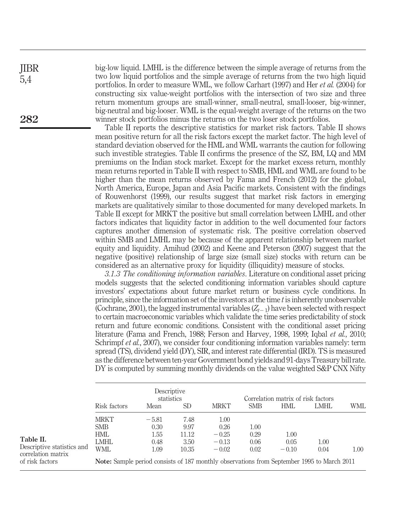big-low liquid. LMHL is the difference between the simple average of returns from the two low liquid portfolios and the simple average of returns from the two high liquid portfolios. In order to measure WML, we follow Carhart (1997) and Her *et al.* (2004) for constructing six value-weight portfolios with the intersection of two size and three return momentum groups are small-winner, small-neutral, small-looser, big-winner, big-neutral and big-looser. WML is the equal-weight average of the returns on the two winner stock portfolios minus the returns on the two loser stock portfolios.

Table II reports the descriptive statistics for market risk factors. Table II shows mean positive return for all the risk factors except the market factor. The high level of standard deviation observed for the HML and WML warrants the caution for following such investible strategies. Table II confirms the presence of the SZ, BM, LQ and MM premiums on the Indian stock market. Except for the market excess return, monthly mean returns reported in Table II with respect to SMB, HML and WML are found to be higher than the mean returns observed by Fama and French (2012) for the global, North America, Europe, Japan and Asia Pacific markets. Consistent with the findings of Rouwenhorst (1999), our results suggest that market risk factors in emerging markets are qualitatively similar to those documented for many developed markets. In Table II except for MRKT the positive but small correlation between LMHL and other factors indicates that liquidity factor in addition to the well documented four factors captures another dimension of systematic risk. The positive correlation observed within SMB and LMHL may be because of the apparent relationship between market equity and liquidity. Amihud (2002) and Keene and Peterson (2007) suggest that the negative (positive) relationship of large size (small size) stocks with return can be considered as an alternative proxy for liquidity (illiquidity) measure of stocks.

*3.1.3 The conditioning information variables*. Literature on conditional asset pricing models suggests that the selected conditioning information variables should capture investors' expectations about future market return or business cycle conditions. In principle, since the information set of the investors at the time *t* is inherently unobservable (Cochrane, 2001), the lagged instrumental variables  $(Z_{t-1})$  have been selected with respect to certain macroeconomic variables which validate the time series predictability of stock return and future economic conditions. Consistent with the conditional asset pricing literature (Fama and French, 1988; Ferson and Harvey, 1998, 1999; Iqbal *et al.*, 2010; Schrimpf *et al.*, 2007), we consider four conditioning information variables namely: term spread (TS), dividend yield (DY), SIR, and interest rate differential (IRD). TS is measured as the difference between ten-year Government bond yields and 91-days Treasury bill rate. DY is computed by summing monthly dividends on the value weighted S&P CNX Nifty

|                                       |                                                                                                   | Descriptive<br>statistics |              |              |            | Correlation matrix of risk factors |      |      |
|---------------------------------------|---------------------------------------------------------------------------------------------------|---------------------------|--------------|--------------|------------|------------------------------------|------|------|
|                                       | Risk factors                                                                                      | Mean                      | SD.          | <b>MRKT</b>  | <b>SMB</b> | HML                                | LMHL | WML  |
|                                       | <b>MRKT</b><br><b>SMB</b>                                                                         | $-5.81$<br>0.30           | 7.48<br>9.97 | 1.00<br>0.26 | 1.00       |                                    |      |      |
|                                       | HML                                                                                               | 1.55                      | 11.12        | $-0.25$      | 0.29       | 1.00                               |      |      |
| Table II.                             | LMHL.                                                                                             | 0.48                      | 3.50         | $-0.13$      | 0.06       | 0.05                               | 1.00 |      |
| Descriptive statistics and            | <b>WML</b>                                                                                        | 1.09                      | 10.35        | $-0.02$      | 0.02       | $-0.10$                            | 0.04 | 1.00 |
| correlation matrix<br>of risk factors | <b>Note:</b> Sample period consists of 187 monthly observations from September 1995 to March 2011 |                           |              |              |            |                                    |      |      |

JIBR 5,4

282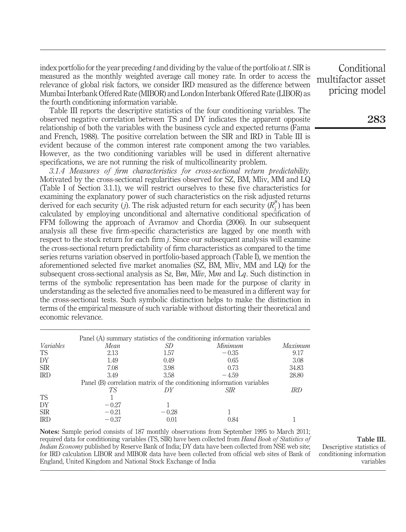index portfolio for the year preceding *t* and dividing by the value of the portfolio at *t*. SIR is measured as the monthly weighted average call money rate. In order to access the relevance of global risk factors, we consider IRD measured as the difference between Mumbai Interbank Offered Rate (MIBOR) and London Interbank Offered Rate (LIBOR) as the fourth conditioning information variable.

Table III reports the descriptive statistics of the four conditioning variables. The observed negative correlation between TS and DY indicates the apparent opposite relationship of both the variables with the business cycle and expected returns (Fama and French, 1988). The positive correlation between the SIR and IRD in Table III is evident because of the common interest rate component among the two variables. However, as the two conditioning variables will be used in different alternative specifications, we are not running the risk of multicollinearity problem.

*3.1.4 Measures of firm characteristics for cross-sectional return predictability*. Motivated by the cross-sectional regularities observed for SZ, BM, Mliv, MM and LQ (Table I of Section 3.1.1), we will restrict ourselves to these five characteristics for examining the explanatory power of such characteristics on the risk adjusted returns derived for each security  $(j)$ . The risk adjusted return for each security  $(R_i^*$ *j* ) has been calculated by employing unconditional and alternative conditional specification of FFM following the approach of Avramov and Chordia (2006). In our subsequent analysis all these five firm-specific characteristics are lagged by one month with respect to the stock return for each firm *j*. Since our subsequent analysis will examine the cross-sectional return predictability of firm characteristics as compared to the time series returns variation observed in portfolio-based approach (Table I), we mention the aforementioned selected five market anomalies (SZ, BM, Mliv, MM and LQ) for the subsequent cross-sectional analysis as S*z*, B*m*, M*liv*, M*m* and L*q*. Such distinction in terms of the symbolic representation has been made for the purpose of clarity in understanding as the selected five anomalies need to be measured in a different way for the cross-sectional tests. Such symbolic distinction helps to make the distinction in terms of the empirical measure of such variable without distorting their theoretical and economic relevance.

|            |                 |         | Panel (A) summary statistics of the conditioning information variables |            |
|------------|-----------------|---------|------------------------------------------------------------------------|------------|
| Variables  | Mean            | SD      | Minimum                                                                | Maximum    |
| <b>TS</b>  | 2.13            | 1.57    | $-0.35$                                                                | 9.17       |
| DY         | 1.49            | 0.49    | 0.65                                                                   | 3.08       |
| <b>SIR</b> | 7.08            | 3.98    | 0.73                                                                   | 34.83      |
| <b>IRD</b> | 3.49            | 3.58    | $-4.59$                                                                | 28.80      |
|            |                 |         | Panel (B) correlation matrix of the conditioning information variables |            |
|            | TS <sup>-</sup> | DY      | <i>SIR</i>                                                             | <i>IRD</i> |
| <b>TS</b>  |                 |         |                                                                        |            |
| DY         | $-0.27$         |         |                                                                        |            |
| <b>SIR</b> | $-0.21$         | $-0.28$ |                                                                        |            |
| <b>IRD</b> | $-0.37$         | 0.01    | 0.84                                                                   |            |

Notes: Sample period consists of 187 monthly observations from September 1995 to March 2011; required data for conditioning variables (TS, SIR) have been collected from *Hand Book of Statistics of Indian Economy* published by Reserve Bank of India; DY data have been collected from NSE web site; for IRD calculation LIBOR and MIBOR data have been collected from official web sites of Bank of England, United Kingdom and National Stock Exchange of India

Table III. Descriptive statistics of conditioning information variables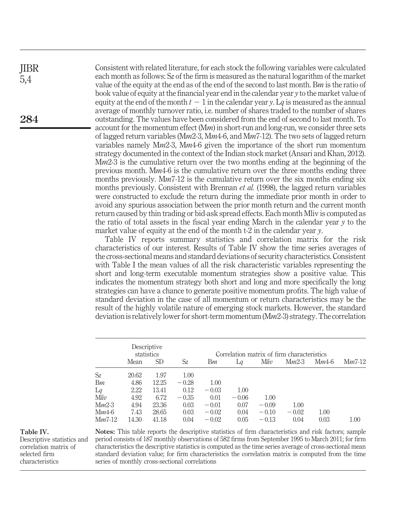JIBR 5,4

284

Consistent with related literature, for each stock the following variables were calculated each month as follows: S*z* of the firm is measured as the natural logarithm of the market value of the equity at the end as of the end of the second to last month. B*m* is the ratio of book value of equity at the financial year end in the calendar year *y* to the market value of equity at the end of the month  $t-1$  in the calendar year y. Lq is measured as the annual average of monthly turnover ratio, i.e. number of shares traded to the number of shares outstanding. The values have been considered from the end of second to last month. To account for the momentum effect (M*m*) in short-run and long-run, we consider three sets of lagged return variables (M*m*2-3, M*m*4-6, and M*m*7-12). The two sets of lagged return variables namely M*m*2-3, M*m*4-6 given the importance of the short run momentum strategy documented in the context of the Indian stock market (Ansari and Khan, 2012). M*m*2-3 is the cumulative return over the two months ending at the beginning of the previous month. M*m*4-6 is the cumulative return over the three months ending three months previously. Mm<sup>7</sup>-12 is the cumulative return over the six months ending six months previously. Consistent with Brennan *et al.* (1998), the lagged return variables were constructed to exclude the return during the immediate prior month in order to avoid any spurious association between the prior month return and the current month return caused by thin trading or bid-ask spread effects. Each month Mliv is computed as the ratio of total assets in the fiscal year ending March in the calendar year *y* to the market value of equity at the end of the month t-2 in the calendar year *y*.

Table IV reports summary statistics and correlation matrix for the risk characteristics of our interest. Results of Table IV show the time series averages of the cross-sectional means and standard deviations of security characteristics. Consistent with Table I the mean values of all the risk characteristic variables representing the short and long-term executable momentum strategies show a positive value. This indicates the momentum strategy both short and long and more specifically the long strategies can have a chance to generate positive momentum profits. The high value of standard deviation in the case of all momentum or return characteristics may be the result of the highly volatile nature of emerging stock markets. However, the standard deviation is relatively lower for short-term momentum (M*m*2-3) strategy. The correlation

|          | statistics | Descriptive |         |         |         |         | Correlation matrix of firm characteristics |         |          |
|----------|------------|-------------|---------|---------|---------|---------|--------------------------------------------|---------|----------|
|          | Mean       | SD          | Sz      | Bm      | La      | Mliv    | $Mm2-3$                                    | $Mm4-6$ | $Mm7-12$ |
| Sz       | 20.62      | 1.97        | 1.00    |         |         |         |                                            |         |          |
| Bm       | 4.86       | 12.25       | $-0.28$ | 1.00    |         |         |                                            |         |          |
| Lq       | 2.22       | 13.41       | 0.12    | $-0.03$ | 1.00    |         |                                            |         |          |
| Mliv     | 4.92       | 6.72        | $-0.35$ | 0.01    | $-0.06$ | 1.00    |                                            |         |          |
| $Mm2-3$  | 4.94       | 23.36       | 0.03    | $-0.01$ | 0.07    | $-0.09$ | 1.00                                       |         |          |
| $Mm4-6$  | 7.43       | 28.65       | 0.03    | $-0.02$ | 0.04    | $-0.10$ | $-0.02$                                    | 1.00    |          |
| $Mm7-12$ | 14.30      | 41.18       | 0.04    | $-0.02$ | 0.05    | $-0.13$ | 0.04                                       | 0.03    | 1.00     |

## Table IV.

Descriptive statistics and correlation matrix of selected firm characteristics

Notes: This table reports the descriptive statistics of firm characteristics and risk factors; sample period consists of 187 monthly observations of 582 firms from September 1995 to March 2011; for firm characteristics the descriptive statistics is computed as the time series average of cross-sectional mean standard deviation value; for firm characteristics the correlation matrix is computed from the time series of monthly cross-sectional correlations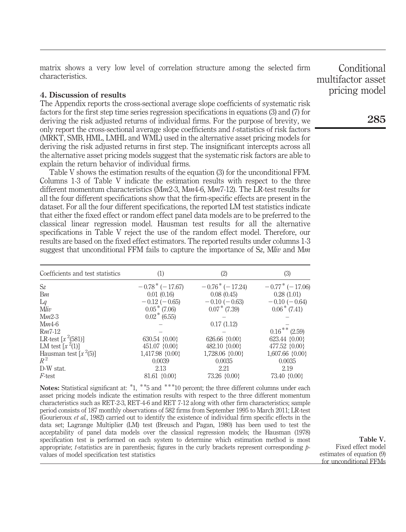matrix shows a very low level of correlation structure among the selected firm characteristics.

### 4. Discussion of results

The Appendix reports the cross-sectional average slope coefficients of systematic risk factors for the first step time series regression specifications in equations (3) and (7) for deriving the risk adjusted returns of individual firms. For the purpose of brevity, we only report the cross-sectional average slope coefficients and *t*-statistics of risk factors (MRKT, SMB, HML, LMHL and WML) used in the alternative asset pricing models for deriving the risk adjusted returns in first step. The insignificant intercepts across all the alternative asset pricing models suggest that the systematic risk factors are able to explain the return behavior of individual firms.

Table V shows the estimation results of the equation (3) for the unconditional FFM. Columns 1-3 of Table V indicate the estimation results with respect to the three different momentum characteristics (M*m*2-3, M*m*4-6, M*m*7-12). The LR-test results for all the four different specifications show that the firm-specific effects are present in the dataset. For all the four different specifications, the reported LM test statistics indicate that either the fixed effect or random effect panel data models are to be preferred to the classical linear regression model. Hausman test results for all the alternative specifications in Table V reject the use of the random effect model. Therefore, our results are based on the fixed effect estimators. The reported results under columns 1-3 suggest that unconditional FFM fails to capture the importance of S*z*, M*liv* and M*m*

| Coefficients and test statistics | $\left(1\right)$              | (2)                           | (3)                |
|----------------------------------|-------------------------------|-------------------------------|--------------------|
| Sz                               | $-0.78$ <sup>*</sup> (-17.67) | $-0.76$ <sup>*</sup> (-17.24) | $-0.77$ * (-17.06) |
| Bm                               | 0.01(0.16)                    | 0.08(0.45)                    | 0.28(1.01)         |
| Lq                               | $-0.12(-0.65)$                | $-0.10(-0.63)$                | $-0.10(-0.64)$     |
| Mliv                             | $0.05$ $(7.06)$               | $0.07*$ (7.39)                | $0.06*$ (7.41)     |
| $Mm2-3$                          | $0.02*(6.55)$                 |                               |                    |
| $Mm4-6$                          |                               | 0.17(1.12)                    |                    |
| $Rm7-12$                         |                               |                               | $0.16***(2.59)$    |
| LR-test $[x^2(581)]$             | 630.54 {0.00}                 | $626.66 \{0.00\}$             | 623.44 {0.00}      |
| LM test $[x^2(1)]$               | 451.07 {0.00}                 | 482.10 {0.00}                 | 477.52 {0.00}      |
| Hausman test $[x^2(5)]$          | 1,417.98 {0.00}               | 1,728.06 {0.00}               | 1,607.66 {0.00}    |
| $R^2$                            | 0.0039                        | 0.0035                        | 0.0035             |
| D-W stat.                        | 2.13                          | 2.21                          | 2.19               |
| F-test                           | $81.61 \{0.00\}$              | 73.26 $\{0.00\}$              | 73.40 $\{0.00\}$   |

Notes: Statistical significant at:  $*1$ ,  $**5$  and  $***10$  percent; the three different columns under each asset pricing models indicate the estimation results with respect to the three different momentum characteristics such as RET-2-3, RET-4-6 and RET 7-12 along with other firm characteristics; sample period consists of 187 monthly observations of 582 firms from September 1995 to March 2011; LR-test (Gourieroux *et al.*, 1982) carried out to identify the existence of individual firm specific effects in the data set; Lagrange Multiplier (LM) test (Breusch and Pagan, 1980) has been used to test the acceptability of panel data models over the classical regression models; the Hausman (1978) specification test is performed on each system to determine which estimation method is most appropriate; *t*-statistics are in parenthesis; figures in the curly brackets represent corresponding *p*values of model specification test statistics

Table V.

Fixed effect model estimates of equation (9) for unconditional FFMs

285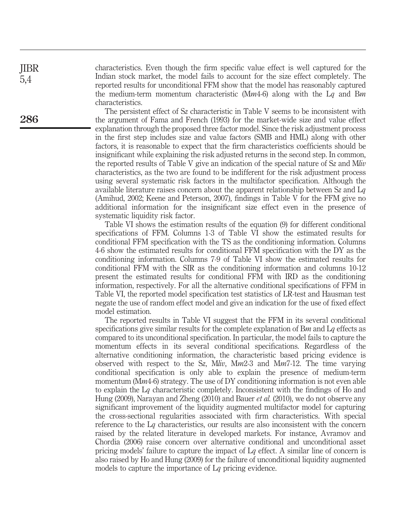characteristics. Even though the firm specific value effect is well captured for the Indian stock market, the model fails to account for the size effect completely. The reported results for unconditional FFM show that the model has reasonably captured the medium-term momentum characteristic (M*m*4-6) along with the L*q* and B*m* characteristics.

The persistent effect of S*z* characteristic in Table V seems to be inconsistent with the argument of Fama and French (1993) for the market-wide size and value effect explanation through the proposed three factor model. Since the risk adjustment process in the first step includes size and value factors (SMB and HML) along with other factors, it is reasonable to expect that the firm characteristics coefficients should be insignificant while explaining the risk adjusted returns in the second step. In common, the reported results of Table V give an indication of the special nature of S*z* and M*liv* characteristics, as the two are found to be indifferent for the risk adjustment process using several systematic risk factors in the multifactor specification. Although the available literature raises concern about the apparent relationship between S*z* and L*q* (Amihud, 2002; Keene and Peterson, 2007), findings in Table V for the FFM give no additional information for the insignificant size effect even in the presence of systematic liquidity risk factor.

Table VI shows the estimation results of the equation (9) for different conditional specifications of FFM. Columns 1-3 of Table VI show the estimated results for conditional FFM specification with the TS as the conditioning information. Columns 4-6 show the estimated results for conditional FFM specification with the DY as the conditioning information. Columns 7-9 of Table VI show the estimated results for conditional FFM with the SIR as the conditioning information and columns 10-12 present the estimated results for conditional FFM with IRD as the conditioning information, respectively. For all the alternative conditional specifications of FFM in Table VI, the reported model specification test statistics of LR-test and Hausman test negate the use of random effect model and give an indication for the use of fixed effect model estimation.

The reported results in Table VI suggest that the FFM in its several conditional specifications give similar results for the complete explanation of B*m* and L*q* effects as compared to its unconditional specification. In particular, the model fails to capture the momentum effects in its several conditional specifications. Regardless of the alternative conditioning information, the characteristic based pricing evidence is observed with respect to the S*z*, M*liv*, M*m*2-3 and M*m*7-12. The time varying conditional specification is only able to explain the presence of medium-term momentum (M*m*4-6) strategy. The use of DY conditioning information is not even able to explain the L*q* characteristic completely. Inconsistent with the findings of Ho and Hung (2009), Narayan and Zheng (2010) and Bauer *et al.* (2010), we do not observe any significant improvement of the liquidity augmented multifactor model for capturing the cross-sectional regularities associated with firm characteristics. With special reference to the L*q* characteristics, our results are also inconsistent with the concern raised by the related literature in developed markets. For instance, Avramov and Chordia (2006) raise concern over alternative conditional and unconditional asset pricing models' failure to capture the impact of L*q* effect. A similar line of concern is also raised by Ho and Hung (2009) for the failure of unconditional liquidity augmented models to capture the importance of L*q* pricing evidence.

JIBR 5,4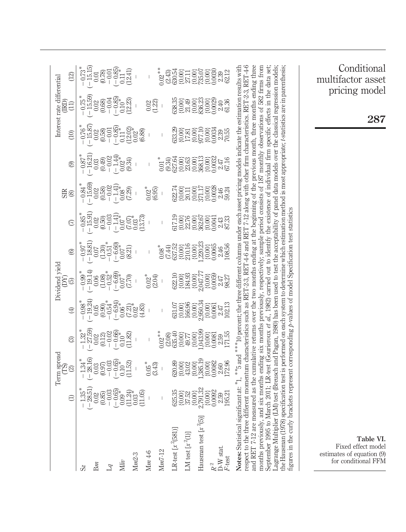|                                     |                |                                                                                                                                                                                                                                                                                          | Conditional                                                                                                                                                                                                                                                                                                                                                                                                                                                                                                                                                                                                                                                                                                                                                                                                                                                                                                                                                                                                                                                                                                                                                                                                                                                                                                                                                   |
|-------------------------------------|----------------|------------------------------------------------------------------------------------------------------------------------------------------------------------------------------------------------------------------------------------------------------------------------------------------|---------------------------------------------------------------------------------------------------------------------------------------------------------------------------------------------------------------------------------------------------------------------------------------------------------------------------------------------------------------------------------------------------------------------------------------------------------------------------------------------------------------------------------------------------------------------------------------------------------------------------------------------------------------------------------------------------------------------------------------------------------------------------------------------------------------------------------------------------------------------------------------------------------------------------------------------------------------------------------------------------------------------------------------------------------------------------------------------------------------------------------------------------------------------------------------------------------------------------------------------------------------------------------------------------------------------------------------------------------------|
|                                     | (12)           | $-0.73$ <sup>*</sup><br>-15.15)<br>$\begin{pmatrix} -0.85 \\ 0.11 \\ 12.41 \end{pmatrix}$<br>$0.02**$<br>0.0030<br>$(2.43)$<br>$630.54$<br>$\begin{array}{c} 2000 \\ 7050 \\ 7050 \\ \end{array}$<br>$-0.01$<br>$\frac{1000}{27.11}$<br>(0.78)<br>2.39<br>62.12<br>0.01                  | multifactor asset<br>pricing model                                                                                                                                                                                                                                                                                                                                                                                                                                                                                                                                                                                                                                                                                                                                                                                                                                                                                                                                                                                                                                                                                                                                                                                                                                                                                                                            |
| Interest rate differential<br>(IRD) | $\overline{1}$ | $-0.75$ *<br>- 15.59)<br>$\begin{pmatrix} -0.85 \\ 0.10 \\ 12.23 \end{pmatrix}$<br>638.35<br>{0.00}<br>21.49<br>0.0029<br>(0.68)<br>$\{0.00\}$<br>836.23<br>$2.40$<br>61.36<br>(0.00)<br>(1.22)<br>0.02<br>0.02                                                                          | 287                                                                                                                                                                                                                                                                                                                                                                                                                                                                                                                                                                                                                                                                                                                                                                                                                                                                                                                                                                                                                                                                                                                                                                                                                                                                                                                                                           |
|                                     | (10)           | $-0.76$ * $(-15.87)$<br>$-0.85$<br>0.11<br>$(12.02)$<br>$0.02$ <sup>*</sup><br>533.29<br>$-0.01$<br>0.0034<br>(0.58)<br>$\begin{array}{c} 1000 \\ 01726 \\ 10000 \\ \end{array}$<br>$2.39$<br>70.55<br>(6.88)<br>$\frac{1781}{1781}$<br>0.02                                             |                                                                                                                                                                                                                                                                                                                                                                                                                                                                                                                                                                                                                                                                                                                                                                                                                                                                                                                                                                                                                                                                                                                                                                                                                                                                                                                                                               |
|                                     | ම              | $-16.21$<br>$\frac{(-1.44)}{0.02}$<br>$-0.02$<br>$0.01$ $^{\ast}$<br>934<br>927<br>928<br>$\{0.00\}$<br>368.13<br>$\{0.003$<br>$0.0032$<br>(0.49)<br>0.87<br>(9.34)<br>$2.47$<br>67.16<br>0.03                                                                                           |                                                                                                                                                                                                                                                                                                                                                                                                                                                                                                                                                                                                                                                                                                                                                                                                                                                                                                                                                                                                                                                                                                                                                                                                                                                                                                                                                               |
| <b>SIR</b>                          | $\circledR$    | $-0.84$ <sup>*</sup><br>(-15.69)<br>$-0.02$<br>$(-1.41)$<br>0.08*<br>0.0028<br>$0.02*$<br>622.74<br>(0.00)<br>(0.58)<br>$\begin{array}{c} \{0.00\} \\ \{271.17\} \end{array}$<br>(0.00)<br>(7.29)<br>$2.46$<br>59.24<br>(6.95)<br>0.02<br>20.11                                          |                                                                                                                                                                                                                                                                                                                                                                                                                                                                                                                                                                                                                                                                                                                                                                                                                                                                                                                                                                                                                                                                                                                                                                                                                                                                                                                                                               |
|                                     | G              | $\frac{-0.85}{-15.91}$<br>$\frac{-1.41}{0.07}$<br>$-0.03$<br>617.19<br>$0.02$<br>$(0.50)$<br>$0.03*$<br>(13.73)<br>22.76<br>(0.00)<br>$\begin{array}{c} {0.003} \ {362.67} \end{array}$<br>(0.00)<br>0.0041<br>$\frac{243}{87.33}$<br>(7.07)                                             |                                                                                                                                                                                                                                                                                                                                                                                                                                                                                                                                                                                                                                                                                                                                                                                                                                                                                                                                                                                                                                                                                                                                                                                                                                                                                                                                                               |
|                                     | ⊜              | $\frac{0.97}{18.81}$<br>$-0.51$ <sup>*</sup><br>$\begin{array}{c} \{0.00\} \\ 220.23 \end{array}$<br>$(-6.60)$<br>0.07*<br>$2.46$<br>$108.56$<br>$\begin{array}{c} (7.44) \\ 637.52 \\ 90.003 \\ 210.16 \end{array}$<br>0.0065<br>(0.00)<br>(1.30)<br>$0.08$ $^{\ast}$<br>(8.21)<br>0.07 |                                                                                                                                                                                                                                                                                                                                                                                                                                                                                                                                                                                                                                                                                                                                                                                                                                                                                                                                                                                                                                                                                                                                                                                                                                                                                                                                                               |
| Dividend yield<br>ŒΦ                | ල              | $-0.99$ <sup>*</sup><br>-19.14)<br>$\begin{array}{c} (1.08)\\ -0.52\\ -0.669\\ \end{array}$<br>0.0059<br>184.93<br>2,047.77<br>622.10<br>$0.02*$<br>(0.00)<br>(0.00)<br>(0.00)<br>(7.70)<br>(2.04)<br>98.27<br>0.06<br>$2.47\,$                                                          |                                                                                                                                                                                                                                                                                                                                                                                                                                                                                                                                                                                                                                                                                                                                                                                                                                                                                                                                                                                                                                                                                                                                                                                                                                                                                                                                                               |
|                                     | ⊕              | $-19.24$<br>$0.98$ <sup>*</sup><br>2.950.34<br>1634)<br>1636<br>1622<br>3003<br>166.96<br>$2.47$<br>102.13<br>631.07<br>(0.90)<br>0.0061<br>(0.00)<br>(0.00)<br>$-0.54$<br>0.05<br>(4.83)                                                                                                |                                                                                                                                                                                                                                                                                                                                                                                                                                                                                                                                                                                                                                                                                                                                                                                                                                                                                                                                                                                                                                                                                                                                                                                                                                                                                                                                                               |
|                                     | ි              | $\frac{1.32}{27.59}$<br>043.99<br>$-0.66$<br>0.10 <sup>*</sup><br>$0.02***$<br>$\frac{2.59}{171.55}$<br>$-0.02$<br>$(2.08)$<br>$(35.40)$<br>$(0.00)$<br>(0.00)<br>(1.82)<br>0.0081<br>(0.12)<br>(0.00)<br>0.02<br>49.77<br>I                                                             |                                                                                                                                                                                                                                                                                                                                                                                                                                                                                                                                                                                                                                                                                                                                                                                                                                                                                                                                                                                                                                                                                                                                                                                                                                                                                                                                                               |
| Term spread                         | $\odot$        | 28.16)<br>$(0.003)$<br>$(0.003)$<br>$(0.003)$<br>$1.34 *$<br>$\binom{-0.65}{0.10}$<br>0.0082<br>172.96<br>$(0.97) - 0.03$<br>(11.52)<br>$0.05*$<br>620.89<br>43.02<br>(0.00)<br>(3.43)<br>0.03<br>2.60                                                                                   |                                                                                                                                                                                                                                                                                                                                                                                                                                                                                                                                                                                                                                                                                                                                                                                                                                                                                                                                                                                                                                                                                                                                                                                                                                                                                                                                                               |
|                                     | Э              | 2,791.32<br>28.51)<br>$\frac{(-65)}{0.09}$<br>0.0092<br>$(0.85)$<br>$-0.03$<br>625.35<br>{0.00}<br>37.52<br>(0.00)<br>$\{0.00\}$<br>$(11.24)$<br>$0.03$<br>(11.05)<br>$2.59$<br>195.21<br>1.35<br>0.02                                                                                   |                                                                                                                                                                                                                                                                                                                                                                                                                                                                                                                                                                                                                                                                                                                                                                                                                                                                                                                                                                                                                                                                                                                                                                                                                                                                                                                                                               |
|                                     |                |                                                                                                                                                                                                                                                                                          |                                                                                                                                                                                                                                                                                                                                                                                                                                                                                                                                                                                                                                                                                                                                                                                                                                                                                                                                                                                                                                                                                                                                                                                                                                                                                                                                                               |
|                                     |                | Hausman test $[x^2(5)]$<br>LR-test $[x^2(581)]$<br>LM test $[x^2(1)]$<br>$\stackrel{\textstyle\cdots}{\textstyle\sum}\textstyle\rm W$ stat.<br>$Mm7-12$<br>${\it Mm}$ 4-6<br>$Mm2-3$<br>$F$ -test<br>Mdiv<br>Bm<br>$\mathbb{P}^1$                                                        | respect to the three different momentum characteristics such as RET-2-3, RET-4-6 and RET 7-12 along with other firm characteristics. RET-2-3, RET-4-6<br>and RET 7-12 are measured as the cumulative returns over the two months ending at the beginning of the previous month, three months ending three<br>Notes: Statistical significant at: ${}^*1$ , ${}^*$ 5 and ${}^*$ ${}^*10$ percent; the three different columns under each asset pricing models indicate the estimation results with<br>months previously, and six months ending six months previously, respectively; sample period consists of 187 monthly observations of 582 firms from<br>Lagrange Multiplier (LM) test (Breusch and Pagan, 1980) has been used to test the acceptability of panel data models over the classical regression models;<br>September 1995 to March 2011; LR-test (Gourieroux <i>et al.</i> , 1982) carried out to identify the existence of individual firm specific effects in the data set;<br>the Hausman (1978) specification test is performed on each system to determine which estimation method is most appropriate; t-statistics are in parenthesis;<br>figures in the curly brackets represent corresponding $p$ -values of model Specification test statistics<br>Table VI.<br>Fixed effect model<br>estimates of equation (9)<br>for conditional FFM |
|                                     |                | $\Im$                                                                                                                                                                                                                                                                                    |                                                                                                                                                                                                                                                                                                                                                                                                                                                                                                                                                                                                                                                                                                                                                                                                                                                                                                                                                                                                                                                                                                                                                                                                                                                                                                                                                               |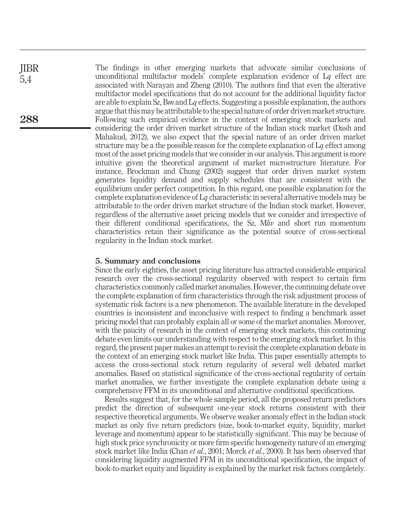JIBR 5,4

288

The findings in other emerging markets that advocate similar conclusions of unconditional multifactor models' complete explanation evidence of L*q* effect are associated with Narayan and Zheng (2010). The authors find that even the alterative multifactor model specifications that do not account for the additional liquidity factor are able to explain S*z*, B*m* and L*q* effects. Suggesting a possible explanation, the authors argue that this may be attributable to the special nature of order driven market structure. Following such empirical evidence in the context of emerging stock markets and considering the order driven market structure of the Indian stock market (Dash and Mahakud, 2012), we also expect that the special nature of an order driven market structure may be a the possible reason for the complete explanation of L*q* effect among most of the asset pricing models that we consider in our analysis. This argument is more intuitive given the theoretical argument of market microstructure literature. For instance, Brockman and Chung (2002) suggest that order driven market system generates liquidity demand and supply schedules that are consistent with the equilibrium under perfect competition. In this regard, one possible explanation for the complete explanation evidence of L*q* characteristic in several alternative models may be attributable to the order driven market structure of the Indian stock market. However, regardless of the alternative asset pricing models that we consider and irrespective of their different conditional specifications, the S*z*, M*liv* and short run momentum characteristics retain their significance as the potential source of cross-sectional regularity in the Indian stock market.

#### 5. Summary and conclusions

Since the early eighties, the asset pricing literature has attracted considerable empirical research over the cross-sectional regularity observed with respect to certain firm characteristics commonly called market anomalies. However, the continuing debate over the complete explanation of firm characteristics through the risk adjustment process of systematic risk factors is a new phenomenon. The available literature in the developed countries is inconsistent and inconclusive with respect to finding a benchmark asset pricing model that can probably explain all or some of the market anomalies. Moreover, with the paucity of research in the context of emerging stock markets, this continuing debate even limits our understanding with respect to the emerging stock market. In this regard, the present paper makes an attempt to revisit the complete explanation debate in the context of an emerging stock market like India. This paper essentially attempts to access the cross-sectional stock return regularity of several well debated market anomalies. Based on statistical significance of the cross-sectional regularity of certain market anomalies, we further investigate the complete explanation debate using a comprehensive FFM in its unconditional and alternative conditional specifications.

Results suggest that, for the whole sample period, all the proposed return predictors predict the direction of subsequent one-year stock returns consistent with their respective theoretical arguments. We observe weaker anomaly effect in the Indian stock market as only five return predictors (size, book-to-market equity, liquidity, market leverage and momentum) appear to be statistically significant. This may be because of high stock price synchronicity or more firm specific homogeneity nature of an emerging stock market like India (Chan *et al.*, 2001; Morck *et al.*, 2000). It has been observed that considering liquidity augmented FFM in its unconditional specification, the impact of book-to-market equity and liquidity is explained by the market risk factors completely.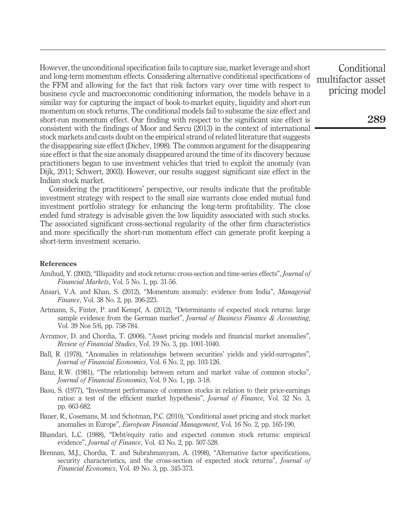However, the unconditional specification fails to capture size, market leverage and short and long-term momentum effects. Considering alternative conditional specifications of the FFM and allowing for the fact that risk factors vary over time with respect to business cycle and macroeconomic conditioning information, the models behave in a similar way for capturing the impact of book-to-market equity, liquidity and short-run momentum on stock returns. The conditional models fail to subsume the size effect and short-run momentum effect. Our finding with respect to the significant size effect is consistent with the findings of Moor and Sercu (2013) in the context of international stock markets and casts doubt on the empirical strand of related literature that suggests the disappearing size effect (Dichev, 1998). The common argument for the disappearing size effect is that the size anomaly disappeared around the time of its discovery because practitioners began to use investment vehicles that tried to exploit the anomaly (van Dijk, 2011; Schwert, 2003). However, our results suggest significant size effect in the Indian stock market.

Considering the practitioners' perspective, our results indicate that the profitable investment strategy with respect to the small size warrants close ended mutual fund investment portfolio strategy for enhancing the long-term profitability. The close ended fund strategy is advisable given the low liquidity associated with such stocks. The associated significant cross-sectional regularity of the other firm characteristics and more specifically the short-run momentum effect can generate profit keeping a short-term investment scenario.

#### References

- Amihud, Y. (2002), "Illiquidity and stock returns: cross-section and time-series effects", *Journal of Financial Markets*, Vol. 5 No. 1, pp. 31-56.
- Ansari, V.A. and Khan, S. (2012), "Momentum anomaly: evidence from India", *Managerial Finance*, Vol. 38 No. 2, pp. 206-223.
- Artmann, S., Finter, P. and Kempf, A. (2012), "Determinants of expected stock returns: large sample evidence from the German market", *Journal of Business Finance & Accounting*, Vol. 39 Nos 5/6, pp. 758-784.
- Avramov, D. and Chordia, T. (2006), "Asset pricing models and financial market anomalies", *Review of Financial Studies*, Vol. 19 No. 3, pp. 1001-1040.
- Ball, R. (1978), "Anomalies in relationships between securities' yields and yield-surrogates", *Journal of Financial Economics*, Vol. 6 No. 2, pp. 103-126.
- Banz, R.W. (1981), "The relationship between return and market value of common stocks", *Journal of Financial Economics*, Vol. 9 No. 1, pp. 3-18.
- Basu, S. (1977), "Investment performance of common stocks in relation to their price-earnings ratios: a test of the efficient market hypothesis", *Journal of Finance*, Vol. 32 No. 3, pp. 663-682.
- Bauer, R., Cosemans, M. and Schotman, P.C. (2010), "Conditional asset pricing and stock market anomalies in Europe", *European Financial Management*, Vol. 16 No. 2, pp. 165-190.
- Bhandari, L.C. (1988), "Debt/equity ratio and expected common stock returns: empirical evidence", *Journal of Finance*, Vol. 43 No. 2, pp. 507-528.
- Brennan, M.J., Chordia, T. and Subrahmanyam, A. (1998), "Alternative factor specifications, security characteristics, and the cross-section of expected stock returns", *Journal of Financial Economics*, Vol. 49 No. 3, pp. 345-373.

Conditional multifactor asset pricing model

289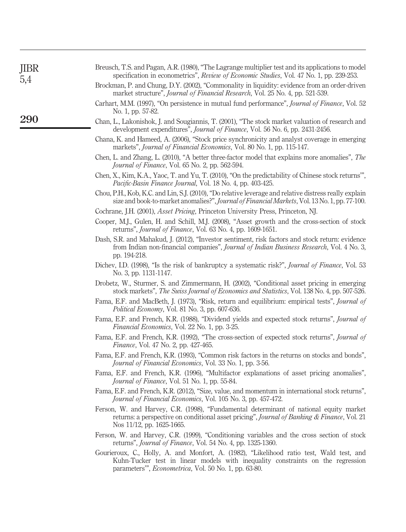| <b>JIBR</b><br>5,4 | Breusch, T.S. and Pagan, A.R. (1980), "The Lagrange multiplier test and its applications to model<br>specification in econometrics", Review of Economic Studies, Vol. 47 No. 1, pp. 239-253.                                                |
|--------------------|---------------------------------------------------------------------------------------------------------------------------------------------------------------------------------------------------------------------------------------------|
|                    | Brockman, P. and Chung, D.Y. (2002), "Commonality in liquidity: evidence from an order-driven<br>market structure", Journal of Financial Research, Vol. 25 No. 4, pp. 521-539.                                                              |
|                    | Carhart, M.M. (1997), "On persistence in mutual fund performance", Journal of Finance, Vol. 52<br>No. 1, pp. 57-82.                                                                                                                         |
| 290                | Chan, L., Lakonishok, J. and Sougiannis, T. (2001), "The stock market valuation of research and<br>development expenditures", Journal of Finance, Vol. 56 No. 6, pp. 2431-2456.                                                             |
|                    | Chana, K. and Hameed, A. (2006), "Stock price synchronicity and analyst coverage in emerging<br>markets", <i>Journal of Financial Economics</i> , Vol. 80 No. 1, pp. 115-147.                                                               |
|                    | Chen, L. and Zhang, L. (2010), "A better three-factor model that explains more anomalies", The<br><i>Journal of Finance</i> , Vol. 65 No. 2, pp. 562-594.                                                                                   |
|                    | Chen, X., Kim, K.A., Yaoc, T. and Yu, T. (2010), "On the predictability of Chinese stock returns",<br><i>Pacific-Basin Finance Journal</i> , Vol. 18 No. 4, pp. 403-425.                                                                    |
|                    | Chou, P.H., Kob, K.C. and Lin, S.J. (2010), "Do relative leverage and relative distress really explain<br>size and book-to-market anomalies?", Journal of Financial Markets, Vol. 13 No. 1, pp. 77-100.                                     |
|                    | Cochrane, J.H. (2001), Asset Pricing, Princeton University Press, Princeton, NJ.                                                                                                                                                            |
|                    | Cooper, M.J., Gulen, H. and Schill, M.J. (2008), "Asset growth and the cross-section of stock<br>returns", Journal of Finance, Vol. 63 No. 4, pp. 1609-1651.                                                                                |
|                    | Dash, S.R. and Mahakud, J. (2012), "Investor sentiment, risk factors and stock return: evidence<br>from Indian non-financial companies", Journal of Indian Business Research, Vol. 4 No. 3,<br>pp. 194-218.                                 |
|                    | Dichev, I.D. (1998), "Is the risk of bankruptcy a systematic risk?", <i>Journal of Finance</i> , Vol. 53<br>No. 3, pp. 1131-1147.                                                                                                           |
|                    | Drobetz, W., Sturmer, S. and Zimmermann, H. (2002), "Conditional asset pricing in emerging<br>stock markets", The Swiss Journal of Economics and Statistics, Vol. 138 No. 4, pp. 507-526.                                                   |
|                    | Fama, E.F. and MacBeth, J. (1973), "Risk, return and equilibrium: empirical tests", <i>Journal of</i><br>Political Economy, Vol. 81 No. 3, pp. 607-636.                                                                                     |
|                    | Fama, E.F. and French, K.R. (1988), "Dividend yields and expected stock returns", Journal of<br>Financial Economics, Vol. 22 No. 1, pp. 3-25.                                                                                               |
|                    | Fama, E.F. and French, K.R. (1992), "The cross-section of expected stock returns", Journal of<br><i>Finance</i> , Vol. 47 No. 2, pp. 427-465.                                                                                               |
|                    | Fama, E.F. and French, K.R. (1993), "Common risk factors in the returns on stocks and bonds",<br><i>Journal of Financial Economics</i> , Vol. 33 No. 1, pp. 3-56.                                                                           |
|                    | Fama, E.F. and French, K.R. (1996), "Multifactor explanations of asset pricing anomalies",<br>Journal of Finance, Vol. 51 No. 1, pp. 55-84.                                                                                                 |
|                    | Fama, E.F. and French, K.R. (2012), "Size, value, and momentum in international stock returns",<br>Journal of Financial Economics, Vol. 105 No. 3, pp. 457-472.                                                                             |
|                    | Ferson, W. and Harvey, C.R. (1998), "Fundamental determinant of national equity market<br>returns: a perspective on conditional asset pricing", Journal of Banking & Finance, Vol. 21<br>Nos 11/12, pp. 1625-1665.                          |
|                    | Ferson, W. and Harvey, C.R. (1999), "Conditioning variables and the cross section of stock<br>returns", <i>Journal of Finance</i> , Vol. 54 No. 4, pp. 1325-1360.                                                                           |
|                    | Gourieroux, C., Holly, A. and Monfort, A. (1982), "Likelihood ratio test, Wald test, and<br>Kuhn-Tucker test in linear models with inequality constraints on the regression<br>parameters", <i>Econometrica</i> , Vol. 50 No. 1, pp. 63-80. |
|                    |                                                                                                                                                                                                                                             |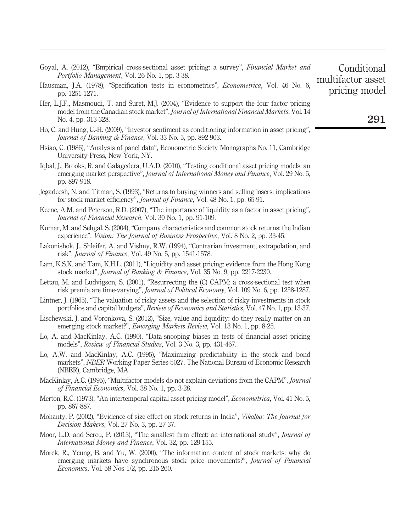- Goyal, A. (2012), "Empirical cross-sectional asset pricing: a survey", *Financial Market and Portfolio Management*, Vol. 26 No. 1, pp. 3-38.
- Hausman, J.A. (1978), "Specification tests in econometrics", *Econometrica*, Vol. 46 No. 6, pp. 1251-1271.
- Her, L.J.F., Masmoudi, T. and Suret, M.J. (2004), "Evidence to support the four factor pricing model from the Canadian stock market", *Journal of International Financial Markets*, Vol. 14 No. 4, pp. 313-328.
- Ho, C. and Hung, C.-H. (2009), "Investor sentiment as conditioning information in asset pricing", *Journal of Banking & Finance*, Vol. 33 No. 5, pp. 892-903.
- Hsiao, C. (1986), "Analysis of panel data", Econometric Society Monographs No. 11, Cambridge University Press, New York, NY.
- Iqbal, J., Brooks, R. and Galagedera, U.A.D. (2010), "Testing conditional asset pricing models: an emerging market perspective", *Journal of International Money and Finance*, Vol. 29 No. 5, pp. 897-918.
- Jegadeesh, N. and Titman, S. (1993), "Returns to buying winners and selling losers: implications for stock market efficiency", *Journal of Finance*, Vol. 48 No. 1, pp. 65-91.
- Keene, A.M. and Peterson, R.D. (2007), "The importance of liquidity as a factor in asset pricing", *Journal of Financial Research*, Vol. 30 No. 1, pp. 91-109.
- Kumar, M. and Sehgal, S. (2004), "Company characteristics and common stock returns: the Indian experience", *Vision: The Journal of Business Prospective*, Vol. 8 No. 2, pp. 33-45.
- Lakonishok, J., Shleifer, A. and Vishny, R.W. (1994), "Contrarian investment, extrapolation, and risk", *Journal of Finance*, Vol. 49 No. 5, pp. 1541-1578.
- Lam, K.S.K. and Tam, K.H.L. (2011), "Liquidity and asset pricing: evidence from the Hong Kong stock market", *Journal of Banking & Finance*, Vol. 35 No. 9, pp. 2217-2230.
- Lettau, M. and Ludvigson, S. (2001), "Resurrecting the (C) CAPM: a cross-sectional test when risk premia are time-varying", *Journal of Political Economy*, Vol. 109 No. 6, pp. 1238-1287.
- Lintner, J. (1965), "The valuation of risky assets and the selection of risky investments in stock portfolios and capital budgets", *Review of Economics and Statistics*, Vol. 47 No. 1, pp. 13-37.
- Lischewski, J. and Voronkova, S. (2012), "Size, value and liquidity: do they really matter on an emerging stock market?", *Emerging Markets Review*, Vol. 13 No. 1, pp. 8-25.
- Lo, A. and MacKinlay, A.C. (1990), "Data-snooping biases in tests of financial asset pricing models", *Review of Financial Studies*, Vol. 3 No. 3, pp. 431-467.
- Lo, A.W. and MacKinlay, A.C. (1995), "Maximizing predictability in the stock and bond markets", *NBER* Working Paper Series-5027, The National Bureau of Economic Research (NBER), Cambridge, MA.
- MacKinlay, A.C. (1995), "Multifactor models do not explain deviations from the CAPM", *Journal of Financial Economics*, Vol. 38 No. 1, pp. 3-28.
- Merton, R.C. (1973), "An intertemporal capital asset pricing model", *Econometrica*, Vol. 41 No. 5, pp. 867-887.
- Mohanty, P. (2002), "Evidence of size effect on stock returns in India", *Vikalpa: The Journal for Decision Makers*, Vol. 27 No. 3, pp. 27-37.
- Moor, L.D. and Sercu, P. (2013), "The smallest firm effect: an international study", *Journal of International Money and Finance*, Vol. 32, pp. 129-155.
- Morck, R., Yeung, B. and Yu, W. (2000), "The information content of stock markets: why do emerging markets have synchronous stock price movements?", *Journal of Financial Economics*, Vol. 58 Nos 1/2, pp. 215-260.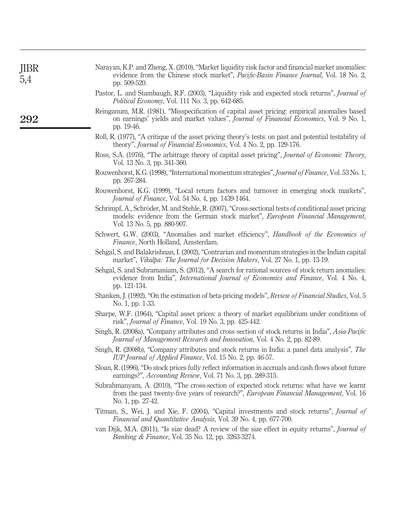| <b>IIBR</b><br>5,4 | Narayan, K.P. and Zheng, X. (2010), "Market liquidity risk factor and financial market anomalies:<br>evidence from the Chinese stock market", Pacific-Basin Finance Journal, Vol. 18 No. 2,<br>pp. 509-520.            |
|--------------------|------------------------------------------------------------------------------------------------------------------------------------------------------------------------------------------------------------------------|
|                    | Pastor, L. and Stambaugh, R.F. (2003), "Liquidity risk and expected stock returns", Journal of<br><i>Political Economy</i> , Vol. 111 No. 3, pp. 642-685.                                                              |
| 292                | Reinganum, M.R. (1981), "Misspecification of capital asset pricing: empirical anomalies based<br>on earnings' yields and market values", <i>Journal of Financial Economics</i> , Vol. 9 No. 1,<br>pp. 19-46.           |
|                    | Roll, R. (1977), "A critique of the asset pricing theory's tests: on past and potential testability of<br>theory", Journal of Financial Economics, Vol. 4 No. 2, pp. 129-176.                                          |
|                    | Ross, S.A. (1976), "The arbitrage theory of capital asset pricing", Journal of Economic Theory,<br>Vol. 13 No. 3, pp. 341-360.                                                                                         |
|                    | Rouwenhorst, K.G. (1998), "International momentum strategies", <i>Journal of Finance</i> , Vol. 53 No. 1,<br>pp. 267-284.                                                                                              |
|                    | Rouwenhorst, K.G. (1999), "Local return factors and turnover in emerging stock markets",<br>Journal of Finance, Vol. 54 No. 4, pp. 1439-1464.                                                                          |
|                    | Schrimpf, A., Schröder, M. and Stehle, R. (2007), "Cross-sectional tests of conditional asset pricing<br>models: evidence from the German stock market", European Financial Management,<br>Vol. 13 No. 5, pp. 880-907. |
|                    | Schwert, G.W. (2003), "Anomalies and market efficiency", Handbook of the Economics of<br>Finance, North Holland, Amsterdam.                                                                                            |
|                    | Sehgal, S. and Balakrishnan, I. (2002), "Contrarian and momentum strategies in the Indian capital<br>market", Vikalpa: The Journal for Decision Makers, Vol. 27 No. 1, pp. 13-19.                                      |
|                    | Sehgal, S. and Subramaniam, S. (2012), "A search for rational sources of stock return anomalies:<br>evidence from India", International Journal of Economics and Finance, Vol. 4 No. 4,<br>pp. 121-134.                |
|                    | Shanken, J. (1992), "On the estimation of beta-pricing models", Review of Financial Studies, Vol. 5<br>No. 1, pp. 1-33.                                                                                                |
|                    | Sharpe, W.F. (1964), "Capital asset prices: a theory of market equilibrium under conditions of<br>risk", Journal of Finance, Vol. 19 No. 3, pp. 425-442.                                                               |
|                    | Singh, R. (2008a), "Company attributes and cross section of stock returns in India", Asia-Pacific<br>Journal of Management Research and Innovation, Vol. 4 No. 2, pp. 82-89.                                           |
|                    | Singh, R. (2008b), "Company attributes and stock returns in India: a panel data analysis", The<br>IUP Journal of Applied Finance, Vol. 15 No. 2, pp. 46-57.                                                            |
|                    | Sloan, R. (1996), "Do stock prices fully reflect information in accruals and cash flows about future<br>earnings?", Accounting Review, Vol. 71 No. 3, pp. 289-315.                                                     |
|                    | Subrahmanyam, A. (2010), "The cross-section of expected stock returns: what have we learnt<br>from the past twenty-five years of research?", <i>European Financial Management</i> , Vol. 16<br>No. 1, pp. 27-42.       |
|                    | Titman, S., Wei, J. and Xie, F. (2004), "Capital investments and stock returns", Journal of<br>Financial and Quantitative Analysis, Vol. 39 No. 4, pp. 677-700.                                                        |
|                    | van Dijk, M.A. (2011), "Is size dead? A review of the size effect in equity returns", <i>Journal of</i><br><i>Banking &amp; Finance</i> , Vol. 35 No. 12, pp. 3263-3274.                                               |
|                    |                                                                                                                                                                                                                        |
|                    |                                                                                                                                                                                                                        |
|                    |                                                                                                                                                                                                                        |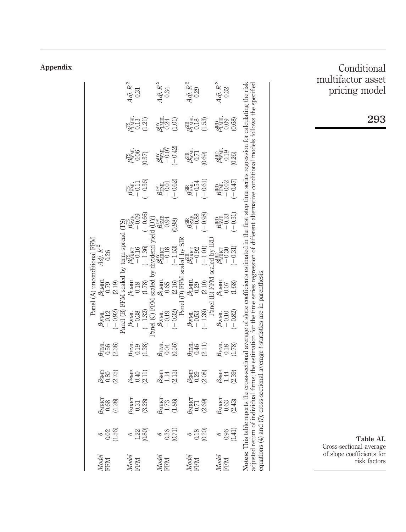|              |                                              |                                     |                       |                                   |                                                                                                                                                                                                                                                                                                                                                                                                                                        | Panel (A) unconditional FFM                                                            |                                                                                                                                                                                                                                                                                                                                                                                                                                                                                                  |                                                                |                                                 |                               |                               |
|--------------|----------------------------------------------|-------------------------------------|-----------------------|-----------------------------------|----------------------------------------------------------------------------------------------------------------------------------------------------------------------------------------------------------------------------------------------------------------------------------------------------------------------------------------------------------------------------------------------------------------------------------------|----------------------------------------------------------------------------------------|--------------------------------------------------------------------------------------------------------------------------------------------------------------------------------------------------------------------------------------------------------------------------------------------------------------------------------------------------------------------------------------------------------------------------------------------------------------------------------------------------|----------------------------------------------------------------|-------------------------------------------------|-------------------------------|-------------------------------|
| Model<br>FFM | <sup>0</sup> පි.<br>0.36                     | MRK7<br>0.68<br>(4.28)              | රිකෙ<br>0.80<br>2.75) | 8HML<br>0.58<br>2.38)             | $\beta_{\text{WML}}$ $\beta_{\text{LMH}}$<br>$-0.12$ 0.79<br>$(-0.92)$ (2.19)<br>Panel (B) FFM scaled b                                                                                                                                                                                                                                                                                                                                | $Adj, R^2$<br>0.26                                                                     |                                                                                                                                                                                                                                                                                                                                                                                                                                                                                                  |                                                                |                                                 |                               |                               |
|              |                                              |                                     |                       |                                   |                                                                                                                                                                                                                                                                                                                                                                                                                                        |                                                                                        |                                                                                                                                                                                                                                                                                                                                                                                                                                                                                                  |                                                                |                                                 |                               |                               |
|              |                                              |                                     |                       |                                   |                                                                                                                                                                                                                                                                                                                                                                                                                                        |                                                                                        |                                                                                                                                                                                                                                                                                                                                                                                                                                                                                                  |                                                                |                                                 |                               |                               |
| Model<br>FFM |                                              |                                     |                       |                                   |                                                                                                                                                                                                                                                                                                                                                                                                                                        | by term spread ( $\frac{\mu_{\text{MRT}}}{-0.16}$ (-1.36)                              | $\widetilde{B}^{\text{R}}_{\text{S},\text{0}}$ - 0.66)                                                                                                                                                                                                                                                                                                                                                                                                                                           | $\beta_{\rm HML}^{\rm TS}$ - 0.36)<br>- 0.36)                  | $B_{\rm WML}^{\rm TS}$<br>0.37)                 | $g_{1,3}^{ES}$<br>$(1,21)$    | $\frac{A d j}{0.31} R^2$      |
|              |                                              |                                     |                       |                                   |                                                                                                                                                                                                                                                                                                                                                                                                                                        |                                                                                        |                                                                                                                                                                                                                                                                                                                                                                                                                                                                                                  |                                                                |                                                 |                               |                               |
|              | $-238$<br>$-198$                             | 0<br>0.31<br>(3.28)                 | 8<br>0.40<br>2.11     | 8 <sub>HML</sub><br>0.19<br>1.38) |                                                                                                                                                                                                                                                                                                                                                                                                                                        |                                                                                        |                                                                                                                                                                                                                                                                                                                                                                                                                                                                                                  |                                                                |                                                 |                               |                               |
|              |                                              |                                     |                       |                                   |                                                                                                                                                                                                                                                                                                                                                                                                                                        |                                                                                        |                                                                                                                                                                                                                                                                                                                                                                                                                                                                                                  |                                                                |                                                 |                               |                               |
| Model<br>FFM |                                              |                                     |                       | 8HML<br>0.04<br>0.56)             |                                                                                                                                                                                                                                                                                                                                                                                                                                        | dividend $\beta_{\text{MRT}}^{\text{DY}}$<br>$\beta_{\text{MRT}}^{\text{DY}}$ - 0.18   | $\det(\begin{array}{c} \mathrm{D}Y \ \mathrm{BMS} \ \mathrm{D}Y \ \mathrm{BMS} \ \mathrm{D} \ \mathrm{D} \ \mathrm{D} \ \mathrm{D} \ \mathrm{D} \ \mathrm{D} \ \mathrm{D} \ \mathrm{D} \ \mathrm{D} \ \mathrm{D} \ \mathrm{D} \ \mathrm{D} \ \mathrm{D} \ \mathrm{D} \ \mathrm{D} \ \mathrm{D} \ \mathrm{D} \ \mathrm{D} \ \mathrm{D} \ \mathrm{D} \ \mathrm{D} \ \mathrm{D} \ \mathrm{D} \ \mathrm{D} \ \mathrm{D} \ \mathrm{D} \ \mathrm{D} \ \mathrm{D} \ \mathrm{D} \ \mathrm{D} \ \mathrm{$ | $\beta_\mathrm{HML}^\mathrm{DY} \hspace{-0.2cm} -0.01$ – 0.62) | $\beta_{\rm WML}^{\rm DY}$<br>- 0.07<br>- 0.42) | $\frac{254}{324}$<br>$(1.01)$ | $4dj$ ; $R^2$<br>0.34         |
|              |                                              |                                     |                       |                                   |                                                                                                                                                                                                                                                                                                                                                                                                                                        |                                                                                        |                                                                                                                                                                                                                                                                                                                                                                                                                                                                                                  |                                                                |                                                 |                               |                               |
|              | $\frac{685}{9}$                              | Ямикл<br>1.73<br>(1.86)             | &ses<br>114<br>2.13)  |                                   |                                                                                                                                                                                                                                                                                                                                                                                                                                        |                                                                                        |                                                                                                                                                                                                                                                                                                                                                                                                                                                                                                  |                                                                |                                                 |                               |                               |
|              |                                              |                                     |                       |                                   |                                                                                                                                                                                                                                                                                                                                                                                                                                        |                                                                                        |                                                                                                                                                                                                                                                                                                                                                                                                                                                                                                  |                                                                |                                                 |                               |                               |
| Model<br>FFM | $^{\circ}_{0.30}$                            | $\frac{9}{0.71}$<br>$(2.69)$        | රික<br>රටවලි<br>2.08) | 8HMI<br>0.46<br>(2.11)            |                                                                                                                                                                                                                                                                                                                                                                                                                                        | M scaled by SIR<br>$\mu$<br>$\theta_{MRT}^{\text{RIRCT}}$<br>$-0.92$<br>(0)<br>(-1.01) | $\beta_{\rm SMB}^{\rm SIR} \over -0.38$ ( $-0.98$                                                                                                                                                                                                                                                                                                                                                                                                                                                | $\frac{\beta_{\rm EML}^{\rm SIL}}{0.54}$ – 0.61)               | $\frac{\beta_{\text{WML}}^{S}}{0.71}$           | 해서 15<br>해도<br>15             | $Adj. \, R^{\, 2} \over 0.29$ |
|              |                                              |                                     |                       |                                   |                                                                                                                                                                                                                                                                                                                                                                                                                                        |                                                                                        |                                                                                                                                                                                                                                                                                                                                                                                                                                                                                                  |                                                                |                                                 |                               |                               |
|              |                                              |                                     |                       |                                   |                                                                                                                                                                                                                                                                                                                                                                                                                                        |                                                                                        |                                                                                                                                                                                                                                                                                                                                                                                                                                                                                                  |                                                                |                                                 |                               |                               |
|              |                                              |                                     |                       |                                   |                                                                                                                                                                                                                                                                                                                                                                                                                                        |                                                                                        |                                                                                                                                                                                                                                                                                                                                                                                                                                                                                                  |                                                                |                                                 |                               |                               |
| Model<br>FFM | $\begin{array}{c} 0.41 \\ -0.41 \end{array}$ | л <sub>инкт</sub><br>0.63<br>(2.43) | 8514<br>141<br>2.39)  | 8 <sub>HML</sub><br>0.18<br>1.78) | $\begin{array}{ll} \mathit{B}_{\rm{WM}} & \mathit{B}_{\rm{LMHL}} \\ -0.38 & 0.18 \\ \text{Panel (C) FPM scaled by di} \\ \mathit{B}_{\rm{WM}} & \mathit{B}_{\rm{LMHL}} \\ -0.19 & 0.65 \\ \text{Fermi} & \mathit{B}_{\rm{LMHL}} \\ \text{Pemel (D) FPM scal} \\ \mathit{B}_{\rm{MM}} & 0.20 \\ \text{Pemel (D) FPM scal} \\ -0.53 & 0.29 \\ \text{Pand (D) FPM scal} \\ \text{PAM} & 0.29 \\ \text{Pand (E) FPM scal} \\ \mathit{B}_{$ | 4 scaled by IRD<br>$\rho_{MRKT}^{\text{RID}}$<br>$-0.30$<br>$(-1.0.31)$<br>$(-1.0.31)$ | $\beta_{\rm SMB}^{\rm RB}$<br>$-0.31$ )<br>$(-0.31)$                                                                                                                                                                                                                                                                                                                                                                                                                                             | $\beta_{\rm HML}^{\rm RPL}$<br>- 0.02<br>- 0.47)               | <b>BWM</b><br>0.19<br>0.26)                     | RH<br>508<br>5080             | $Adj. R^2$<br>0.32            |
|              |                                              |                                     |                       |                                   |                                                                                                                                                                                                                                                                                                                                                                                                                                        |                                                                                        |                                                                                                                                                                                                                                                                                                                                                                                                                                                                                                  |                                                                |                                                 |                               |                               |
|              |                                              |                                     |                       |                                   | adjusted return of individual firms; the estimation for the time series regression of different alternative conditional models follows the specified<br><b>Notes:</b> This table reports the cross-sectional average of slope coefficients estimated in the first step time series regression for calculating the risk<br>equations $(4)$ and $(7)$ ; cross-sectional average t-statistics are in parenthesis                          |                                                                                        |                                                                                                                                                                                                                                                                                                                                                                                                                                                                                                  |                                                                |                                                 |                               |                               |

Appendix

Conditional multifactor asset pricing model

293

Table AI. Cross-sectional average of slope coefficients for risk factors